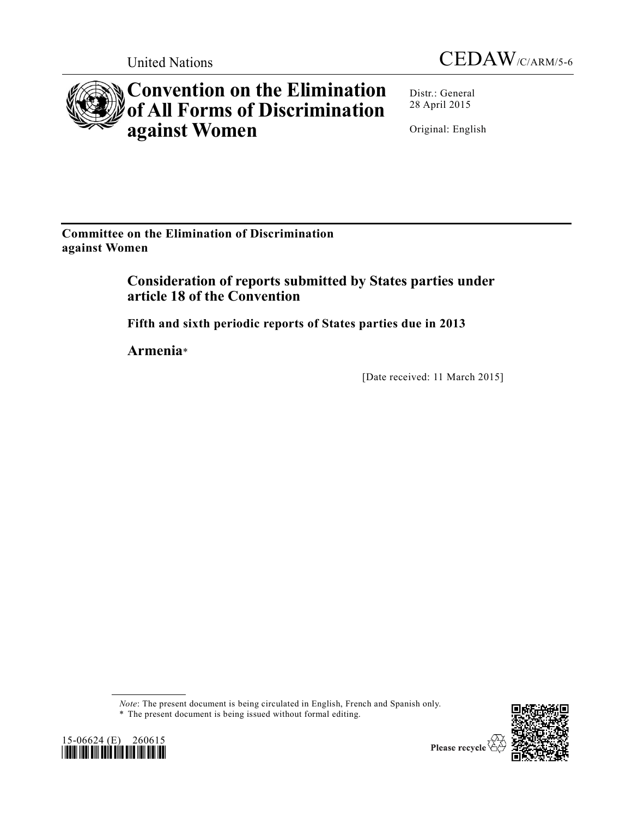



# **Convention on the Elimination of All Forms of Discrimination against Women**

Distr.: General 28 April 2015

Original: English

**Committee on the Elimination of Discrimination against Women**

> **Consideration of reports submitted by States parties under article 18 of the Convention**

**Fifth and sixth periodic reports of States parties due in 2013**

**Armenia**\*

[Date received: 11 March 2015]

*Note*: The present document is being circulated in English, French and Spanish only.

\* The present document is being issued without formal editing.



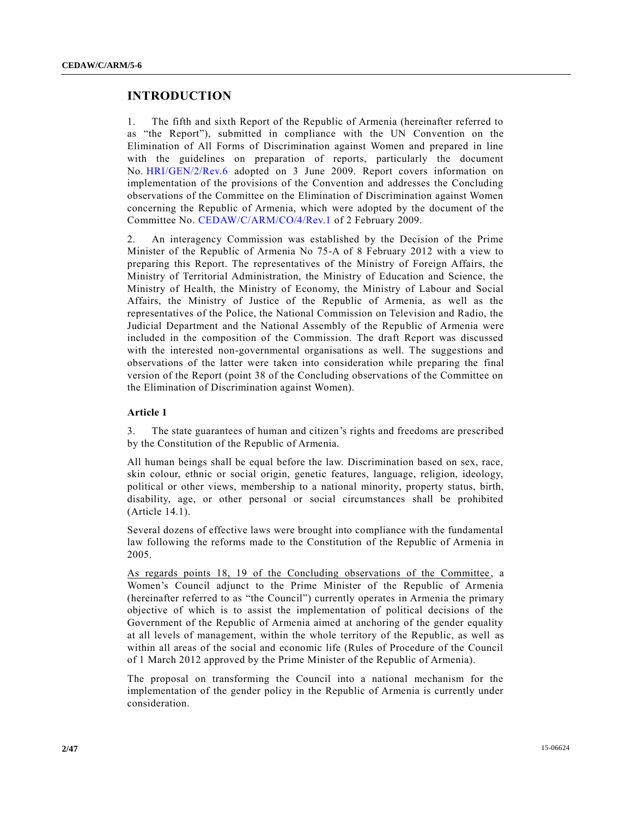# **INTRODUCTION**

1. The fifth and sixth Report of the Republic of Armenia (hereinafter referred to as "the Report"), submitted in compliance with the UN Convention on the Elimination of All Forms of Discrimination against Women and prepared in line with the guidelines on preparation of reports, particularly the document No. [HRI/GEN/2/Rev.6](http://undocs.org/HRI/GEN/2/Rev.6) adopted on 3 June 2009. Report covers information on implementation of the provisions of the Convention and addresses the Concluding observations of the Committee on the Elimination of Discrimination against Women concerning the Republic of Armenia, which were adopted by the document of the Committee No. [CEDAW/C/ARM/CO/4/Rev.1](http://undocs.org/CEDAW/C/ARM/CO/4/Rev.1) of 2 February 2009.

2. An interagency Commission was established by the Decision of the Prime Minister of the Republic of Armenia No 75-A of 8 February 2012 with a view to preparing this Report. The representatives of the Ministry of Foreign Affairs, the Ministry of Territorial Administration, the Ministry of Education and Science, the Ministry of Health, the Ministry of Economy, the Ministry of Labour and Social Affairs, the Ministry of Justice of the Republic of Armenia, as well as the representatives of the Police, the National Commission on Television and Radio, the Judicial Department and the National Assembly of the Republic of Armenia were included in the composition of the Commission. The draft Report was discussed with the interested non-governmental organisations as well. The suggestions and observations of the latter were taken into consideration while preparing the final version of the Report (point 38 of the Concluding observations of the Committee on the Elimination of Discrimination against Women).

## **Article 1**

3. The state guarantees of human and citizen's rights and freedoms are prescribed by the Constitution of the Republic of Armenia.

All human beings shall be equal before the law. Discrimination based on sex, race, skin colour, ethnic or social origin, genetic features, language, religion, ideology, political or other views, membership to a national minority, property status, birth, disability, age, or other personal or social circumstances shall be prohibited (Article 14.1).

Several dozens of effective laws were brought into compliance with the fundamental law following the reforms made to the Constitution of the Republic of Armenia in 2005.

As regards points 18, 19 of the Concluding observations of the Committee, a Women's Council adjunct to the Prime Minister of the Republic of Armenia (hereinafter referred to as "the Council") currently operates in Armenia the primary objective of which is to assist the implementation of political decisions of the Government of the Republic of Armenia aimed at anchoring of the gender equality at all levels of management, within the whole territory of the Republic, as well as within all areas of the social and economic life (Rules of Procedure of the Council of 1 March 2012 approved by the Prime Minister of the Republic of Armenia).

The proposal on transforming the Council into a national mechanism for the implementation of the gender policy in the Republic of Armenia is currently under consideration.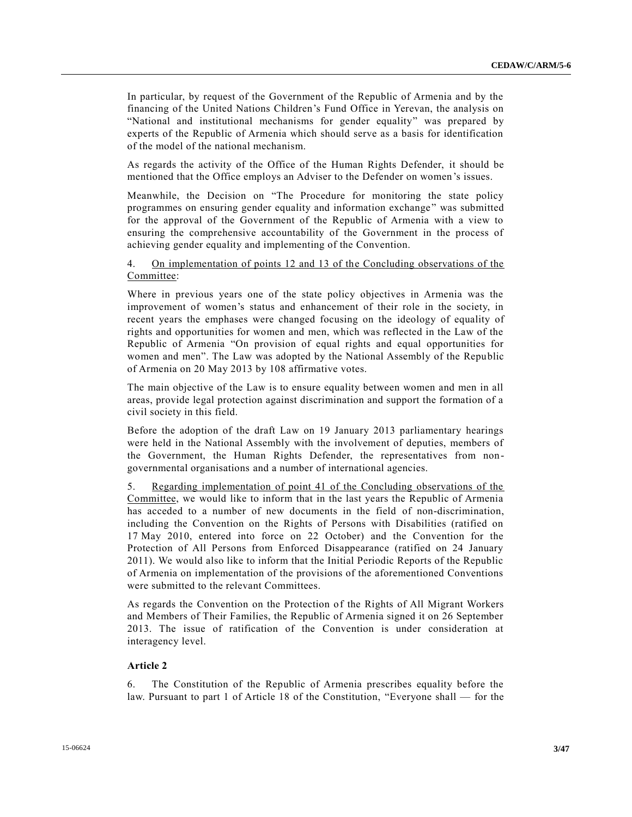In particular, by request of the Government of the Republic of Armenia and by the financing of the United Nations Children's Fund Office in Yerevan, the analysis on "National and institutional mechanisms for gender equality" was prepared by experts of the Republic of Armenia which should serve as a basis for identification of the model of the national mechanism.

As regards the activity of the Office of the Human Rights Defender, it should be mentioned that the Office employs an Adviser to the Defender on women's issues.

Meanwhile, the Decision on "The Procedure for monitoring the state policy programmes on ensuring gender equality and information exchange " was submitted for the approval of the Government of the Republic of Armenia with a view to ensuring the comprehensive accountability of the Government in the process of achieving gender equality and implementing of the Convention.

## 4. On implementation of points 12 and 13 of the Concluding observations of the Committee:

Where in previous years one of the state policy objectives in Armenia was the improvement of women's status and enhancement of their role in the society, in recent years the emphases were changed focusing on the ideology of equality of rights and opportunities for women and men, which was reflected in the Law of the Republic of Armenia "On provision of equal rights and equal opportunities for women and men". The Law was adopted by the National Assembly of the Republic of Armenia on 20 May 2013 by 108 affirmative votes.

The main objective of the Law is to ensure equality between women and men in all areas, provide legal protection against discrimination and support the formation of a civil society in this field.

Before the adoption of the draft Law on 19 January 2013 parliamentary hearings were held in the National Assembly with the involvement of deputies, members of the Government, the Human Rights Defender, the representatives from nongovernmental organisations and a number of international agencies.

5. Regarding implementation of point 41 of the Concluding observations of the Committee, we would like to inform that in the last years the Republic of Armenia has acceded to a number of new documents in the field of non-discrimination, including the Convention on the Rights of Persons with Disabilities (ratified on 17 May 2010, entered into force on 22 October) and the Convention for the Protection of All Persons from Enforced Disappearance (ratified on 24 January 2011). We would also like to inform that the Initial Periodic Reports of the Republic of Armenia on implementation of the provisions of the aforementioned Conventions were submitted to the relevant Committees.

As regards the Convention on the Protection of the Rights of All Migrant Workers and Members of Their Families, the Republic of Armenia signed it on 26 September 2013. The issue of ratification of the Convention is under consideration at interagency level.

#### **Article 2**

6. The Constitution of the Republic of Armenia prescribes equality before the law. Pursuant to part 1 of Article 18 of the Constitution, "Everyone shall — for the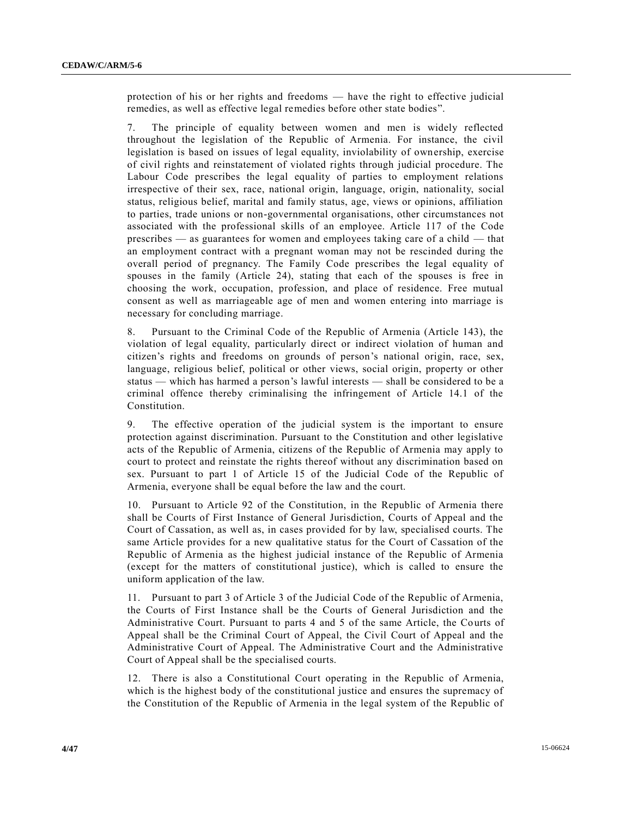protection of his or her rights and freedoms — have the right to effective judicial remedies, as well as effective legal remedies before other state bodies".

7. The principle of equality between women and men is widely reflected throughout the legislation of the Republic of Armenia. For instance, the civil legislation is based on issues of legal equality, inviolability of ownership, exercise of civil rights and reinstatement of violated rights through judicial procedure. The Labour Code prescribes the legal equality of parties to employment relations irrespective of their sex, race, national origin, language, origin, nationality, social status, religious belief, marital and family status, age, views or opinions, affiliation to parties, trade unions or non-governmental organisations, other circumstances not associated with the professional skills of an employee. Article 117 of the Code prescribes — as guarantees for women and employees taking care of a child — that an employment contract with a pregnant woman may not be rescinded during the overall period of pregnancy. The Family Code prescribes the legal equality of spouses in the family (Article 24), stating that each of the spouses is free in choosing the work, occupation, profession, and place of residence. Free mutual consent as well as marriageable age of men and women entering into marriage is necessary for concluding marriage.

8. Pursuant to the Criminal Code of the Republic of Armenia (Article 143), the violation of legal equality, particularly direct or indirect violation of human and citizen's rights and freedoms on grounds of person's national origin, race, sex, language, religious belief, political or other views, social origin, property or other status — which has harmed a person's lawful interests — shall be considered to be a criminal offence thereby criminalising the infringement of Article 14.1 of the Constitution.

9. The effective operation of the judicial system is the important to ensure protection against discrimination. Pursuant to the Constitution and other legislative acts of the Republic of Armenia, citizens of the Republic of Armenia may apply to court to protect and reinstate the rights thereof without any discrimination based on sex. Pursuant to part 1 of Article 15 of the Judicial Code of the Republic of Armenia, everyone shall be equal before the law and the court.

10. Pursuant to Article 92 of the Constitution, in the Republic of Armenia there shall be Courts of First Instance of General Jurisdiction, Courts of Appeal and the Court of Cassation, as well as, in cases provided for by law, specialised courts. The same Article provides for a new qualitative status for the Court of Cassation of the Republic of Armenia as the highest judicial instance of the Republic of Armenia (except for the matters of constitutional justice), which is called to ensure the uniform application of the law.

11. Pursuant to part 3 of Article 3 of the Judicial Code of the Republic of Armenia, the Courts of First Instance shall be the Courts of General Jurisdiction and the Administrative Court. Pursuant to parts 4 and 5 of the same Article, the Courts of Appeal shall be the Criminal Court of Appeal, the Civil Court of Appeal and the Administrative Court of Appeal. The Administrative Court and the Administrative Court of Appeal shall be the specialised courts.

12. There is also a Constitutional Court operating in the Republic of Armenia, which is the highest body of the constitutional justice and ensures the supremacy of the Constitution of the Republic of Armenia in the legal system of the Republic of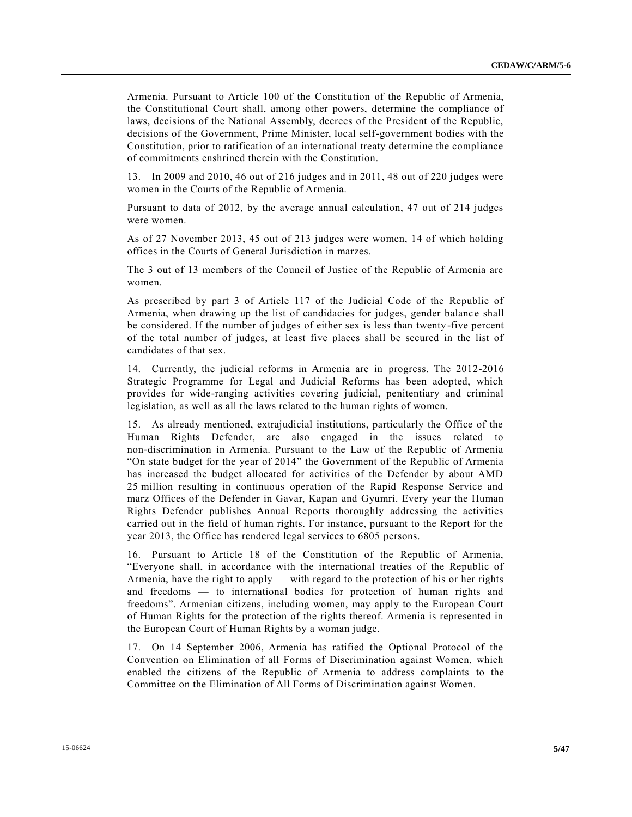Armenia. Pursuant to Article 100 of the Constitution of the Republic of Armenia, the Constitutional Court shall, among other powers, determine the compliance of laws, decisions of the National Assembly, decrees of the President of the Republic, decisions of the Government, Prime Minister, local self-government bodies with the Constitution, prior to ratification of an international treaty determine the compliance of commitments enshrined therein with the Constitution.

13. In 2009 and 2010, 46 out of 216 judges and in 2011, 48 out of 220 judges were women in the Courts of the Republic of Armenia.

Pursuant to data of 2012, by the average annual calculation, 47 out of 214 judges were women.

As of 27 November 2013, 45 out of 213 judges were women, 14 of which holding offices in the Courts of General Jurisdiction in marzes.

The 3 out of 13 members of the Council of Justice of the Republic of Armenia are women.

As prescribed by part 3 of Article 117 of the Judicial Code of the Republic of Armenia, when drawing up the list of candidacies for judges, gender balance shall be considered. If the number of judges of either sex is less than twenty -five percent of the total number of judges, at least five places shall be secured in the list of candidates of that sex.

14. Currently, the judicial reforms in Armenia are in progress. The 2012-2016 Strategic Programme for Legal and Judicial Reforms has been adopted, which provides for wide-ranging activities covering judicial, penitentiary and criminal legislation, as well as all the laws related to the human rights of women.

15. As already mentioned, extrajudicial institutions, particularly the Office of the Human Rights Defender, are also engaged in the issues related to non-discrimination in Armenia. Pursuant to the Law of the Republic of Armenia "On state budget for the year of 2014" the Government of the Republic of Armenia has increased the budget allocated for activities of the Defender by about AMD 25 million resulting in continuous operation of the Rapid Response Service and marz Offices of the Defender in Gavar, Kapan and Gyumri. Every year the Human Rights Defender publishes Annual Reports thoroughly addressing the activities carried out in the field of human rights. For instance, pursuant to the Report for the year 2013, the Office has rendered legal services to 6805 persons.

16. Pursuant to Article 18 of the Constitution of the Republic of Armenia, "Everyone shall, in accordance with the international treaties of the Republic of Armenia, have the right to apply — with regard to the protection of his or her rights and freedoms — to international bodies for protection of human rights and freedoms". Armenian citizens, including women, may apply to the European Court of Human Rights for the protection of the rights thereof. Armenia is represented in the European Court of Human Rights by a woman judge.

17. On 14 September 2006, Armenia has ratified the Optional Protocol of the Convention on Elimination of all Forms of Discrimination against Women, which enabled the citizens of the Republic of Armenia to address complaints to the Committee on the Elimination of All Forms of Discrimination against Women.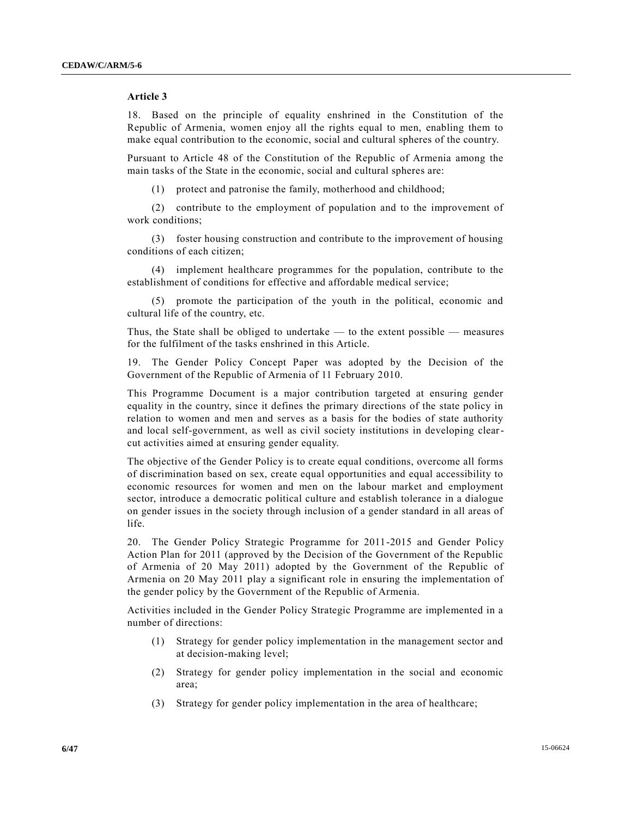## **Article 3**

18. Based on the principle of equality enshrined in the Constitution of the Republic of Armenia, women enjoy all the rights equal to men, enabling them to make equal contribution to the economic, social and cultural spheres of the country.

Pursuant to Article 48 of the Constitution of the Republic of Armenia among the main tasks of the State in the economic, social and cultural spheres are:

(1) protect and patronise the family, motherhood and childhood;

(2) contribute to the employment of population and to the improvement of work conditions;

(3) foster housing construction and contribute to the improvement of housing conditions of each citizen;

(4) implement healthcare programmes for the population, contribute to the establishment of conditions for effective and affordable medical service;

(5) promote the participation of the youth in the political, economic and cultural life of the country, etc.

Thus, the State shall be obliged to undertake  $-$  to the extent possible  $-$  measures for the fulfilment of the tasks enshrined in this Article.

19. The Gender Policy Concept Paper was adopted by the Decision of the Government of the Republic of Armenia of 11 February 2010.

This Programme Document is a major contribution targeted at ensuring gender equality in the country, since it defines the primary directions of the state policy in relation to women and men and serves as a basis for the bodies of state authority and local self-government, as well as civil society institutions in developing clearcut activities aimed at ensuring gender equality.

The objective of the Gender Policy is to create equal conditions, overcome all forms of discrimination based on sex, create equal opportunities and equal accessibility to economic resources for women and men on the labour market and employment sector, introduce a democratic political culture and establish tolerance in a dialogue on gender issues in the society through inclusion of a gender standard in all areas of life.

20. The Gender Policy Strategic Programme for 2011-2015 and Gender Policy Action Plan for 2011 (approved by the Decision of the Government of the Republic of Armenia of 20 May 2011) adopted by the Government of the Republic of Armenia on 20 May 2011 play a significant role in ensuring the implementation of the gender policy by the Government of the Republic of Armenia.

Activities included in the Gender Policy Strategic Programme are implemented in a number of directions:

- (1) Strategy for gender policy implementation in the management sector and at decision-making level;
- (2) Strategy for gender policy implementation in the social and economic area;
- (3) Strategy for gender policy implementation in the area of healthcare;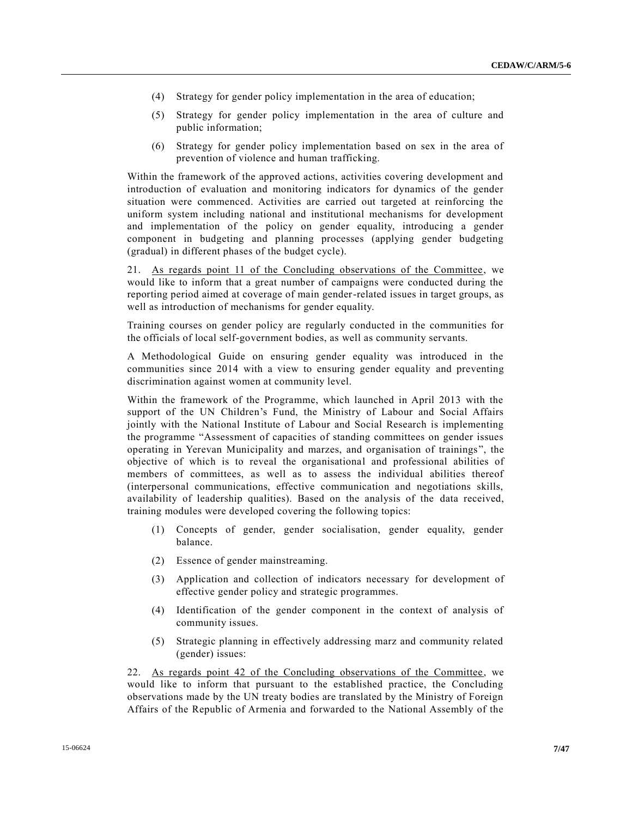- (4) Strategy for gender policy implementation in the area of education;
- (5) Strategy for gender policy implementation in the area of culture and public information;
- (6) Strategy for gender policy implementation based on sex in the area of prevention of violence and human trafficking.

Within the framework of the approved actions, activities covering development and introduction of evaluation and monitoring indicators for dynamics of the gender situation were commenced. Activities are carried out targeted at reinforcing the uniform system including national and institutional mechanisms for development and implementation of the policy on gender equality, introducing a gender component in budgeting and planning processes (applying gender budgeting (gradual) in different phases of the budget cycle).

21. As regards point 11 of the Concluding observations of the Committee, we would like to inform that a great number of campaigns were conducted during the reporting period aimed at coverage of main gender-related issues in target groups, as well as introduction of mechanisms for gender equality.

Training courses on gender policy are regularly conducted in the communities for the officials of local self-government bodies, as well as community servants.

A Methodological Guide on ensuring gender equality was introduced in the communities since 2014 with a view to ensuring gender equality and preventing discrimination against women at community level.

Within the framework of the Programme, which launched in April 2013 with the support of the UN Children's Fund, the Ministry of Labour and Social Affairs jointly with the National Institute of Labour and Social Research is implementing the programme "Assessment of capacities of standing committees on gender issues operating in Yerevan Municipality and marzes, and organisation of trainings ", the objective of which is to reveal the organisational and professional abilities of members of committees, as well as to assess the individual abilities thereof (interpersonal communications, effective communication and negotiations skills, availability of leadership qualities). Based on the analysis of the data received, training modules were developed covering the following topics:

- (1) Concepts of gender, gender socialisation, gender equality, gender balance.
- (2) Essence of gender mainstreaming.
- (3) Application and collection of indicators necessary for development of effective gender policy and strategic programmes.
- (4) Identification of the gender component in the context of analysis of community issues.
- (5) Strategic planning in effectively addressing marz and community related (gender) issues:

22. As regards point 42 of the Concluding observations of the Committee, we would like to inform that pursuant to the established practice, the Concluding observations made by the UN treaty bodies are translated by the Ministry of Foreign Affairs of the Republic of Armenia and forwarded to the National Assembly of the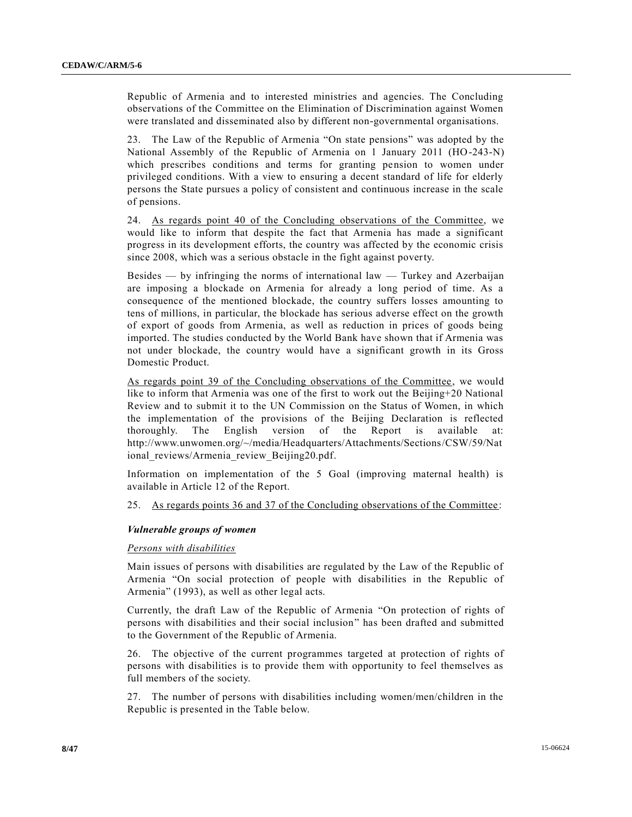Republic of Armenia and to interested ministries and agencies. The Concluding observations of the Committee on the Elimination of Discrimination against Women were translated and disseminated also by different non-governmental organisations.

23. The Law of the Republic of Armenia "On state pensions" was adopted by the National Assembly of the Republic of Armenia on 1 January 2011 (HO-243-N) which prescribes conditions and terms for granting pension to women under privileged conditions. With a view to ensuring a decent standard of life for elderly persons the State pursues a policy of consistent and continuous increase in the scale of pensions.

24. As regards point 40 of the Concluding observations of the Committee, we would like to inform that despite the fact that Armenia has made a significant progress in its development efforts, the country was affected by the economic crisis since 2008, which was a serious obstacle in the fight against poverty.

Besides — by infringing the norms of international law — Turkey and Azerbaijan are imposing a blockade on Armenia for already a long period of time. As a consequence of the mentioned blockade, the country suffers losses amounting to tens of millions, in particular, the blockade has serious adverse effect on the growth of export of goods from Armenia, as well as reduction in prices of goods being imported. The studies conducted by the World Bank have shown that if Armenia was not under blockade, the country would have a significant growth in its Gross Domestic Product.

As regards point 39 of the Concluding observations of the Committee, we would like to inform that Armenia was one of the first to work out the Beijing+20 National Review and to submit it to the UN Commission on the Status of Women, in which the implementation of the provisions of the Beijing Declaration is reflected thoroughly. The English version of the Report is available at: http://www.unwomen.org/~/media/Headquarters/Attachments/Sections/CSW/59/Nat ional reviews/Armenia review Beijing20.pdf.

Information on implementation of the 5 Goal (improving maternal health) is available in Article 12 of the Report.

25. As regards points 36 and 37 of the Concluding observations of the Committee :

#### *Vulnerable groups of women*

#### *Persons with disabilities*

Main issues of persons with disabilities are regulated by the Law of the Republic of Armenia "On social protection of people with disabilities in the Republic of Armenia" (1993), as well as other legal acts.

Currently, the draft Law of the Republic of Armenia "On protection of rights of persons with disabilities and their social inclusion" has been drafted and submitted to the Government of the Republic of Armenia.

26. The objective of the current programmes targeted at protection of rights of persons with disabilities is to provide them with opportunity to feel themselves as full members of the society.

27. The number of persons with disabilities including women/men/children in the Republic is presented in the Table below.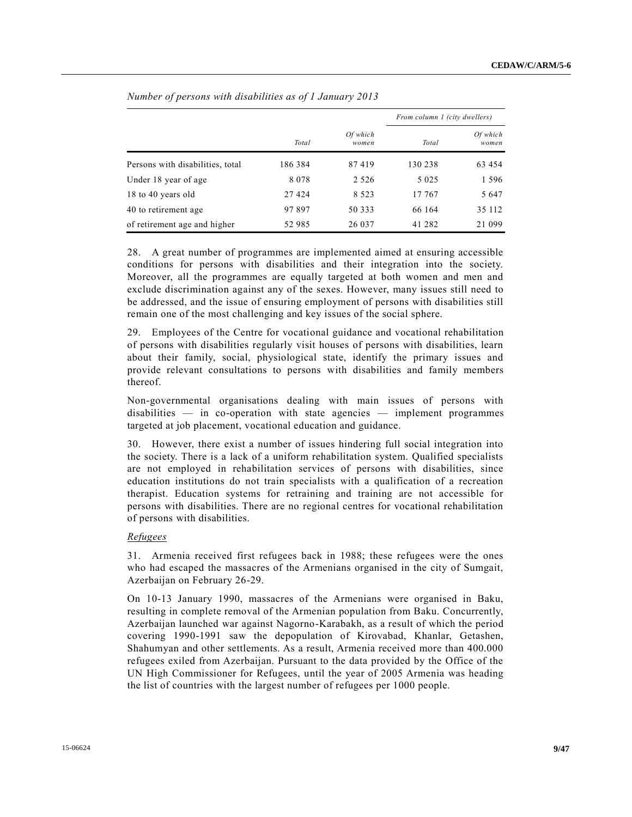|                                  |         |                   |         | From column 1 (city dwellers) |  |  |
|----------------------------------|---------|-------------------|---------|-------------------------------|--|--|
|                                  | Total   | Of which<br>women | Total   | Of which<br>women             |  |  |
| Persons with disabilities, total | 186 384 | 87419             | 130 238 | 63 454                        |  |  |
| Under 18 year of age             | 8078    | 2 5 2 6           | 5 0 2 5 | 1 5 9 6                       |  |  |
| 18 to 40 years old               | 27 4 24 | 8 5 2 3           | 17 767  | 5 6 4 7                       |  |  |
| 40 to retirement age             | 97897   | 50 333            | 66 164  | 35 112                        |  |  |
| of retirement age and higher     | 52 985  | 26 037            | 41 282  | 21 099                        |  |  |

*Number of persons with disabilities as of 1 January 2013*

28. A great number of programmes are implemented aimed at ensuring accessible conditions for persons with disabilities and their integration into the society. Moreover, all the programmes are equally targeted at both women and men and exclude discrimination against any of the sexes. However, many issues still need to be addressed, and the issue of ensuring employment of persons with disabilities still remain one of the most challenging and key issues of the social sphere.

29. Employees of the Centre for vocational guidance and vocational rehabilitation of persons with disabilities regularly visit houses of persons with disabilities, learn about their family, social, physiological state, identify the primary issues and provide relevant consultations to persons with disabilities and family members thereof.

Non-governmental organisations dealing with main issues of persons with disabilities — in co-operation with state agencies — implement programmes targeted at job placement, vocational education and guidance.

30. However, there exist a number of issues hindering full social integration into the society. There is a lack of a uniform rehabilitation system. Qualified specialists are not employed in rehabilitation services of persons with disabilities, since education institutions do not train specialists with a qualification of a recreation therapist. Education systems for retraining and training are not accessible for persons with disabilities. There are no regional centres for vocational rehabilitation of persons with disabilities.

#### *Refugees*

31. Armenia received first refugees back in 1988; these refugees were the ones who had escaped the massacres of the Armenians organised in the city of Sumgait, Azerbaijan on February 26-29.

On 10-13 January 1990, massacres of the Armenians were organised in Baku, resulting in complete removal of the Armenian population from Baku. Concurrently, Azerbaijan launched war against Nagorno-Karabakh, as a result of which the period covering 1990-1991 saw the depopulation of Kirovabad, Khanlar, Getashen, Shahumyan and other settlements. As a result, Armenia received more than 400.000 refugees exiled from Azerbaijan. Pursuant to the data provided by the Office of the UN High Commissioner for Refugees, until the year of 2005 Armenia was heading the list of countries with the largest number of refugees per 1000 people.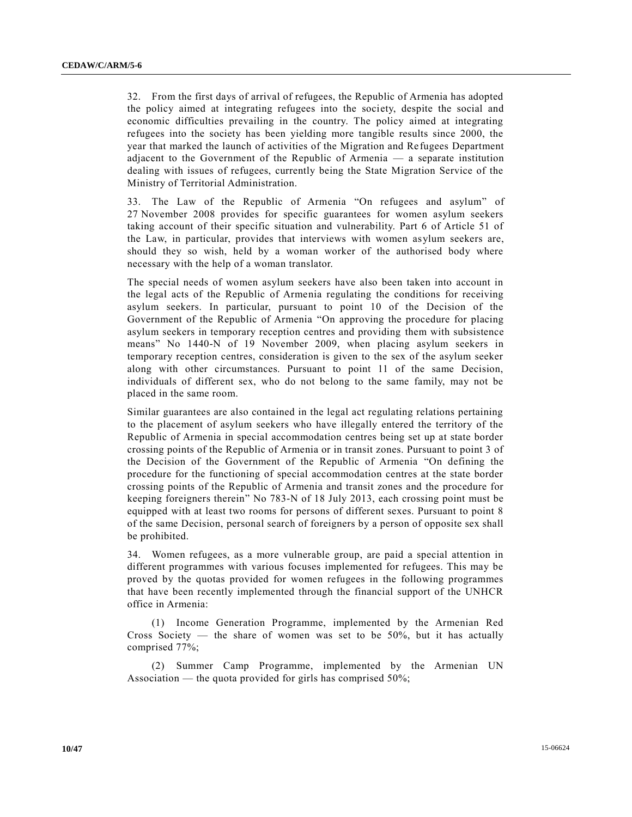32. From the first days of arrival of refugees, the Republic of Armenia has adopted the policy aimed at integrating refugees into the society, despite the social and economic difficulties prevailing in the country. The policy aimed at integrating refugees into the society has been yielding more tangible results since 2000, the year that marked the launch of activities of the Migration and Re fugees Department adjacent to the Government of the Republic of Armenia — a separate institution dealing with issues of refugees, currently being the State Migration Service of the Ministry of Territorial Administration.

33. The Law of the Republic of Armenia "On refugees and asylum" of 27 November 2008 provides for specific guarantees for women asylum seekers taking account of their specific situation and vulnerability. Part 6 of Article 51 of the Law, in particular, provides that interviews with women asylum seekers are, should they so wish, held by a woman worker of the authorised body where necessary with the help of a woman translator.

The special needs of women asylum seekers have also been taken into account in the legal acts of the Republic of Armenia regulating the conditions for receiving asylum seekers. In particular, pursuant to point 10 of the Decision of the Government of the Republic of Armenia "On approving the procedure for placing asylum seekers in temporary reception centres and providing them with subsistence means" No 1440-N of 19 November 2009, when placing asylum seekers in temporary reception centres, consideration is given to the sex of the asylum seeker along with other circumstances. Pursuant to point 11 of the same Decision, individuals of different sex, who do not belong to the same family, may not be placed in the same room.

Similar guarantees are also contained in the legal act regulating relations pertaining to the placement of asylum seekers who have illegally entered the territory of the Republic of Armenia in special accommodation centres being set up at state border crossing points of the Republic of Armenia or in transit zones. Pursuant to point 3 of the Decision of the Government of the Republic of Armenia "On defining the procedure for the functioning of special accommodation centres at the state border crossing points of the Republic of Armenia and transit zones and the procedure for keeping foreigners therein" No 783-N of 18 July 2013, each crossing point must be equipped with at least two rooms for persons of different sexes. Pursuant to point 8 of the same Decision, personal search of foreigners by a person of opposite sex shall be prohibited.

34. Women refugees, as a more vulnerable group, are paid a special attention in different programmes with various focuses implemented for refugees. This may be proved by the quotas provided for women refugees in the following programmes that have been recently implemented through the financial support of the UNHCR office in Armenia:

(1) Income Generation Programme, implemented by the Armenian Red Cross Society  $-$  the share of women was set to be 50%, but it has actually comprised 77%;

(2) Summer Camp Programme, implemented by the Armenian UN Association — the quota provided for girls has comprised 50%;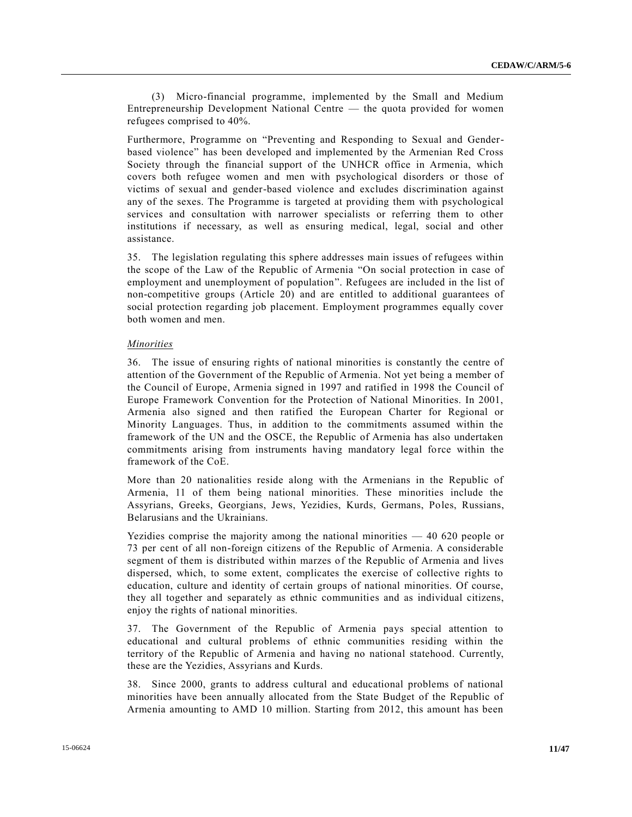(3) Micro-financial programme, implemented by the Small and Medium Entrepreneurship Development National Centre — the quota provided for women refugees comprised to 40%.

Furthermore, Programme on "Preventing and Responding to Sexual and Genderbased violence" has been developed and implemented by the Armenian Red Cross Society through the financial support of the UNHCR office in Armenia, which covers both refugee women and men with psychological disorders or those of victims of sexual and gender-based violence and excludes discrimination against any of the sexes. The Programme is targeted at providing them with psychological services and consultation with narrower specialists or referring them to other institutions if necessary, as well as ensuring medical, legal, social and other assistance.

35. The legislation regulating this sphere addresses main issues of refugees within the scope of the Law of the Republic of Armenia "On social protection in case of employment and unemployment of population". Refugees are included in the list of non-competitive groups (Article 20) and are entitled to additional guarantees of social protection regarding job placement. Employment programmes equally cover both women and men.

#### *Minorities*

36. The issue of ensuring rights of national minorities is constantly the centre of attention of the Government of the Republic of Armenia. Not yet being a member of the Council of Europe, Armenia signed in 1997 and ratified in 1998 the Council of Europe Framework Convention for the Protection of National Minorities. In 2001, Armenia also signed and then ratified the European Charter for Regional or Minority Languages. Thus, in addition to the commitments assumed within the framework of the UN and the OSCE, the Republic of Armenia has also undertaken commitments arising from instruments having mandatory legal force within the framework of the CoE.

More than 20 nationalities reside along with the Armenians in the Republic of Armenia, 11 of them being national minorities. These minorities include the Assyrians, Greeks, Georgians, Jews, Yezidies, Kurds, Germans, Poles, Russians, Belarusians and the Ukrainians.

Yezidies comprise the majority among the national minorities — 40 620 people or 73 per cent of all non-foreign citizens of the Republic of Armenia. A considerable segment of them is distributed within marzes of the Republic of Armenia and lives dispersed, which, to some extent, complicates the exercise of collective rights to education, culture and identity of certain groups of national minorities. Of course, they all together and separately as ethnic communities and as individual citizens, enjoy the rights of national minorities.

37. The Government of the Republic of Armenia pays special attention to educational and cultural problems of ethnic communities residing within the territory of the Republic of Armenia and having no national statehood. Currently, these are the Yezidies, Assyrians and Kurds.

38. Since 2000, grants to address cultural and educational problems of national minorities have been annually allocated from the State Budget of the Republic of Armenia amounting to AMD 10 million. Starting from 2012, this amount has been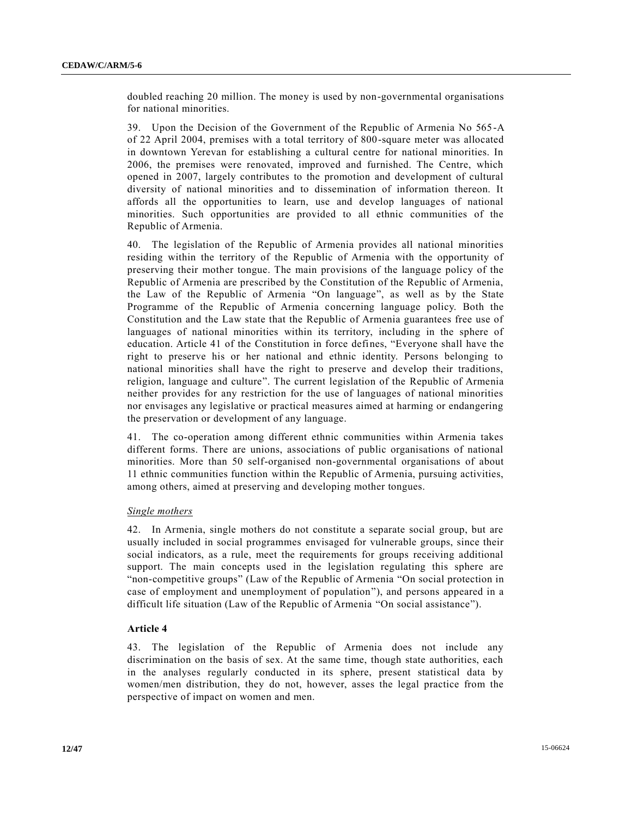doubled reaching 20 million. The money is used by non-governmental organisations for national minorities.

39. Upon the Decision of the Government of the Republic of Armenia No 565-A of 22 April 2004, premises with a total territory of 800-square meter was allocated in downtown Yerevan for establishing a cultural centre for national minorities. In 2006, the premises were renovated, improved and furnished. The Centre, which opened in 2007, largely contributes to the promotion and development of cultural diversity of national minorities and to dissemination of information thereon. It affords all the opportunities to learn, use and develop languages of national minorities. Such opportunities are provided to all ethnic communities of the Republic of Armenia.

40. The legislation of the Republic of Armenia provides all national minorities residing within the territory of the Republic of Armenia with the opportunity of preserving their mother tongue. The main provisions of the language policy of the Republic of Armenia are prescribed by the Constitution of the Republic of Armenia, the Law of the Republic of Armenia "On language", as well as by the State Programme of the Republic of Armenia concerning language policy. Both the Constitution and the Law state that the Republic of Armenia guarantees free use of languages of national minorities within its territory, including in the sphere of education. Article 41 of the Constitution in force defines, "Everyone shall have the right to preserve his or her national and ethnic identity. Persons belonging to national minorities shall have the right to preserve and develop their traditions, religion, language and culture". The current legislation of the Republic of Armenia neither provides for any restriction for the use of languages of national minorities nor envisages any legislative or practical measures aimed at harming or endangering the preservation or development of any language.

41. The co-operation among different ethnic communities within Armenia takes different forms. There are unions, associations of public organisations of national minorities. More than 50 self-organised non-governmental organisations of about 11 ethnic communities function within the Republic of Armenia, pursuing activities, among others, aimed at preserving and developing mother tongues.

## *Single mothers*

42. In Armenia, single mothers do not constitute a separate social group, but are usually included in social programmes envisaged for vulnerable groups, since their social indicators, as a rule, meet the requirements for groups receiving additional support. The main concepts used in the legislation regulating this sphere are "non-competitive groups" (Law of the Republic of Armenia "On social protection in case of employment and unemployment of population"), and persons appeared in a difficult life situation (Law of the Republic of Armenia "On social assistance").

#### **Article 4**

43. The legislation of the Republic of Armenia does not include any discrimination on the basis of sex. At the same time, though state authorities, each in the analyses regularly conducted in its sphere, present statistical data by women/men distribution, they do not, however, asses the legal practice from the perspective of impact on women and men.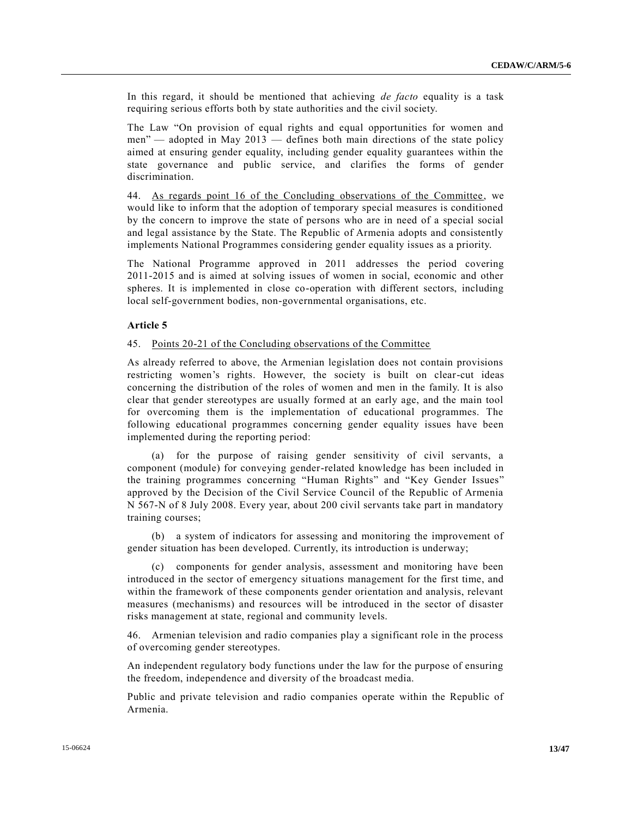In this regard, it should be mentioned that achieving *de facto* equality is a task requiring serious efforts both by state authorities and the civil society.

The Law "On provision of equal rights and equal opportunities for women and men" — adopted in May 2013 — defines both main directions of the state policy aimed at ensuring gender equality, including gender equality guarantees within the state governance and public service, and clarifies the forms of gender discrimination.

44. As regards point 16 of the Concluding observations of the Committee, we would like to inform that the adoption of temporary special measures is conditioned by the concern to improve the state of persons who are in need of a special social and legal assistance by the State. The Republic of Armenia adopts and consistently implements National Programmes considering gender equality issues as a priority.

The National Programme approved in 2011 addresses the period covering 2011-2015 and is aimed at solving issues of women in social, economic and other spheres. It is implemented in close co-operation with different sectors, including local self-government bodies, non-governmental organisations, etc.

#### **Article 5**

#### 45. Points 20-21 of the Concluding observations of the Committee

As already referred to above, the Armenian legislation does not contain provisions restricting women's rights. However, the society is built on clear-cut ideas concerning the distribution of the roles of women and men in the family. It is also clear that gender stereotypes are usually formed at an early age, and the main tool for overcoming them is the implementation of educational programmes. The following educational programmes concerning gender equality issues have been implemented during the reporting period:

(a) for the purpose of raising gender sensitivity of civil servants, a component (module) for conveying gender-related knowledge has been included in the training programmes concerning "Human Rights" and "Key Gender Issues" approved by the Decision of the Civil Service Council of the Republic of Armenia N 567-N of 8 July 2008. Every year, about 200 civil servants take part in mandatory training courses;

(b) a system of indicators for assessing and monitoring the improvement of gender situation has been developed. Currently, its introduction is underway;

(c) components for gender analysis, assessment and monitoring have been introduced in the sector of emergency situations management for the first time, and within the framework of these components gender orientation and analysis, relevant measures (mechanisms) and resources will be introduced in the sector of disaster risks management at state, regional and community levels.

46. Armenian television and radio companies play a significant role in the process of overcoming gender stereotypes.

An independent regulatory body functions under the law for the purpose of ensuring the freedom, independence and diversity of the broadcast media.

Public and private television and radio companies operate within the Republic of Armenia.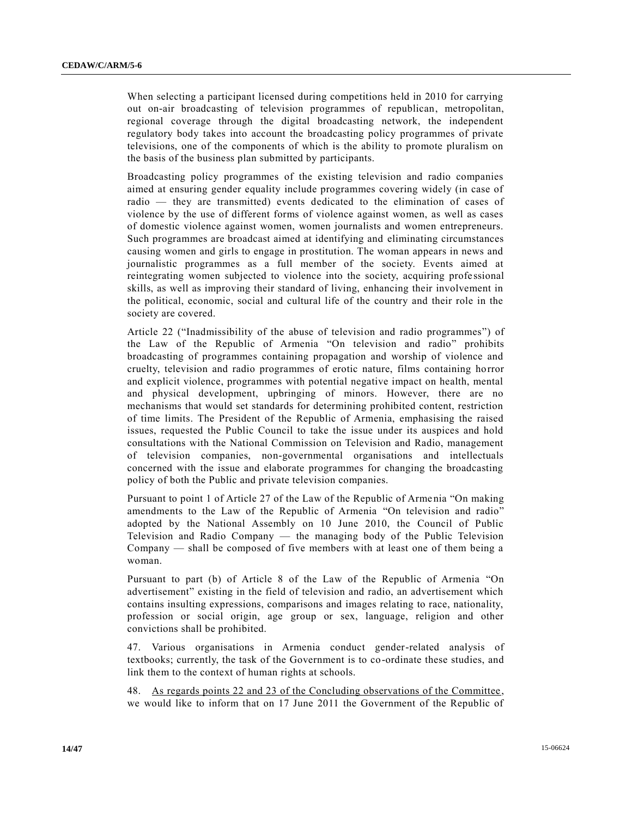When selecting a participant licensed during competitions held in 2010 for carrying out on-air broadcasting of television programmes of republican, metropolitan, regional coverage through the digital broadcasting network, the independent regulatory body takes into account the broadcasting policy programmes of private televisions, one of the components of which is the ability to promote pluralism on the basis of the business plan submitted by participants.

Broadcasting policy programmes of the existing television and radio companies aimed at ensuring gender equality include programmes covering widely (in case of radio — they are transmitted) events dedicated to the elimination of cases of violence by the use of different forms of violence against women, as well as cases of domestic violence against women, women journalists and women entrepreneurs. Such programmes are broadcast aimed at identifying and eliminating circumstances causing women and girls to engage in prostitution. The woman appears in news and journalistic programmes as a full member of the society. Events aimed at reintegrating women subjected to violence into the society, acquiring profe ssional skills, as well as improving their standard of living, enhancing their involvement in the political, economic, social and cultural life of the country and their role in the society are covered.

Article 22 ("Inadmissibility of the abuse of television and radio programmes") of the Law of the Republic of Armenia "On television and radio" prohibits broadcasting of programmes containing propagation and worship of violence and cruelty, television and radio programmes of erotic nature, films containing horror and explicit violence, programmes with potential negative impact on health, mental and physical development, upbringing of minors. However, there are no mechanisms that would set standards for determining prohibited content, restriction of time limits. The President of the Republic of Armenia, emphasising the raised issues, requested the Public Council to take the issue under its auspices and hold consultations with the National Commission on Television and Radio, management of television companies, non-governmental organisations and intellectuals concerned with the issue and elaborate programmes for changing the broadcasting policy of both the Public and private television companies.

Pursuant to point 1 of Article 27 of the Law of the Republic of Arme nia "On making amendments to the Law of the Republic of Armenia "On television and radio" adopted by the National Assembly on 10 June 2010, the Council of Public Television and Radio Company — the managing body of the Public Television Company — shall be composed of five members with at least one of them being a woman.

Pursuant to part (b) of Article 8 of the Law of the Republic of Armenia "On advertisement" existing in the field of television and radio, an advertisement which contains insulting expressions, comparisons and images relating to race, nationality, profession or social origin, age group or sex, language, religion and other convictions shall be prohibited.

47. Various organisations in Armenia conduct gender-related analysis of textbooks; currently, the task of the Government is to co-ordinate these studies, and link them to the context of human rights at schools.

48. As regards points 22 and 23 of the Concluding observations of the Committee , we would like to inform that on 17 June 2011 the Government of the Republic of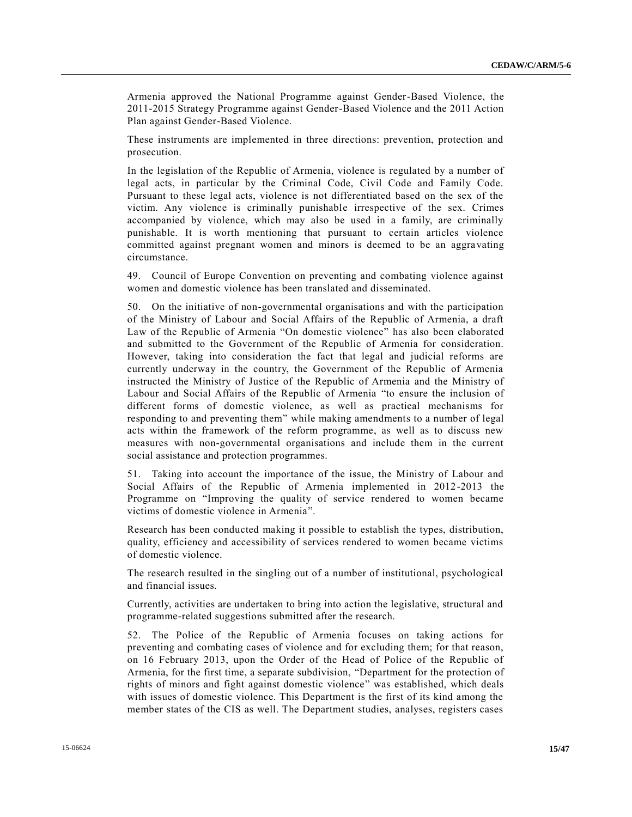Armenia approved the National Programme against Gender-Based Violence, the 2011-2015 Strategy Programme against Gender-Based Violence and the 2011 Action Plan against Gender-Based Violence.

These instruments are implemented in three directions: prevention, protection and prosecution.

In the legislation of the Republic of Armenia, violence is regulated by a number of legal acts, in particular by the Criminal Code, Civil Code and Family Code. Pursuant to these legal acts, violence is not differentiated based on the sex of the victim. Any violence is criminally punishable irrespective of the sex. Crimes accompanied by violence, which may also be used in a family, are criminally punishable. It is worth mentioning that pursuant to certain articles violence committed against pregnant women and minors is deemed to be an aggravating circumstance.

49. Council of Europe Convention on preventing and combating violence against women and domestic violence has been translated and disseminated.

50. On the initiative of non-governmental organisations and with the participation of the Ministry of Labour and Social Affairs of the Republic of Armenia, a draft Law of the Republic of Armenia "On domestic violence" has also been elaborated and submitted to the Government of the Republic of Armenia for consideration. However, taking into consideration the fact that legal and judicial reforms are currently underway in the country, the Government of the Republic of Armenia instructed the Ministry of Justice of the Republic of Armenia and the Ministry of Labour and Social Affairs of the Republic of Armenia "to ensure the inclusion of different forms of domestic violence, as well as practical mechanisms for responding to and preventing them" while making amendments to a number of legal acts within the framework of the reform programme, as well as to discuss new measures with non-governmental organisations and include them in the current social assistance and protection programmes.

51. Taking into account the importance of the issue, the Ministry of Labour and Social Affairs of the Republic of Armenia implemented in 2012-2013 the Programme on "Improving the quality of service rendered to women became victims of domestic violence in Armenia".

Research has been conducted making it possible to establish the types, distribution, quality, efficiency and accessibility of services rendered to women became victims of domestic violence.

The research resulted in the singling out of a number of institutional, psychological and financial issues.

Currently, activities are undertaken to bring into action the legislative, structural and programme-related suggestions submitted after the research.

52. The Police of the Republic of Armenia focuses on taking actions for preventing and combating cases of violence and for excluding them; for that reason, on 16 February 2013, upon the Order of the Head of Police of the Republic of Armenia, for the first time, a separate subdivision, "Department for the protection of rights of minors and fight against domestic violence" was established, which deals with issues of domestic violence. This Department is the first of its kind among the member states of the CIS as well. The Department studies, analyses, registers cases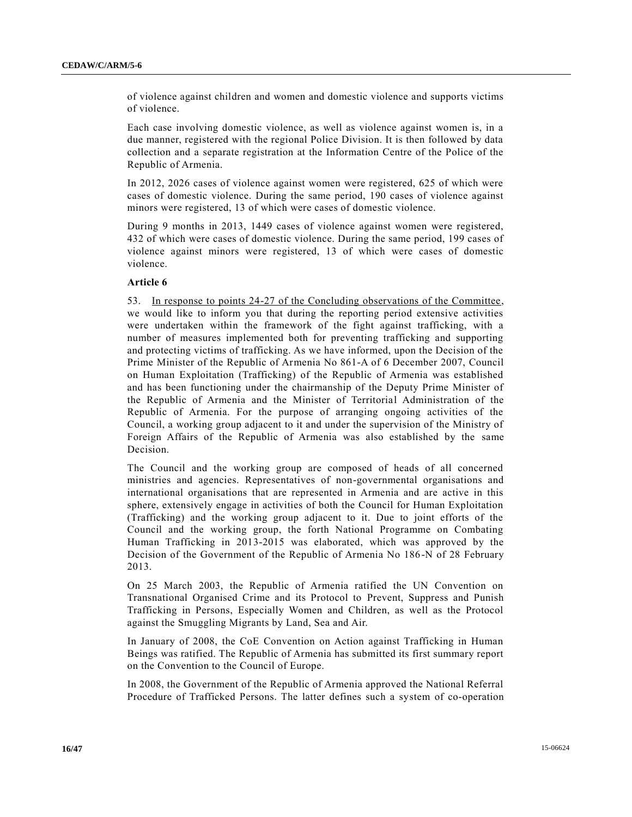of violence against children and women and domestic violence and supports victims of violence.

Each case involving domestic violence, as well as violence against women is, in a due manner, registered with the regional Police Division. It is then followed by data collection and a separate registration at the Information Centre of the Police of the Republic of Armenia.

In 2012, 2026 cases of violence against women were registered, 625 of which were cases of domestic violence. During the same period, 190 cases of violence against minors were registered, 13 of which were cases of domestic violence.

During 9 months in 2013, 1449 cases of violence against women were registered, 432 of which were cases of domestic violence. During the same period, 199 cases of violence against minors were registered, 13 of which were cases of domestic violence.

#### **Article 6**

53. In response to points 24-27 of the Concluding observations of the Committee, we would like to inform you that during the reporting period extensive activities were undertaken within the framework of the fight against trafficking, with a number of measures implemented both for preventing trafficking and supporting and protecting victims of trafficking. As we have informed, upon the Decision of the Prime Minister of the Republic of Armenia No 861-A of 6 December 2007, Council on Human Exploitation (Trafficking) of the Republic of Armenia was established and has been functioning under the chairmanship of the Deputy Prime Minister of the Republic of Armenia and the Minister of Territorial Administration of the Republic of Armenia. For the purpose of arranging ongoing activities of the Council, a working group adjacent to it and under the supervision of the Ministry of Foreign Affairs of the Republic of Armenia was also established by the same Decision.

The Council and the working group are composed of heads of all concerned ministries and agencies. Representatives of non-governmental organisations and international organisations that are represented in Armenia and are active in this sphere, extensively engage in activities of both the Council for Human Exploitation (Trafficking) and the working group adjacent to it. Due to joint efforts of the Council and the working group, the forth National Programme on Combating Human Trafficking in 2013-2015 was elaborated, which was approved by the Decision of the Government of the Republic of Armenia No 186-N of 28 February 2013.

On 25 March 2003, the Republic of Armenia ratified the UN Convention on Transnational Organised Crime and its Protocol to Prevent, Suppress and Punish Trafficking in Persons, Especially Women and Children, as well as the Protocol against the Smuggling Migrants by Land, Sea and Air.

In January of 2008, the CoE Convention on Action against Trafficking in Human Beings was ratified. The Republic of Armenia has submitted its first summary report on the Convention to the Council of Europe.

In 2008, the Government of the Republic of Armenia approved the National Referral Procedure of Trafficked Persons. The latter defines such a system of co-operation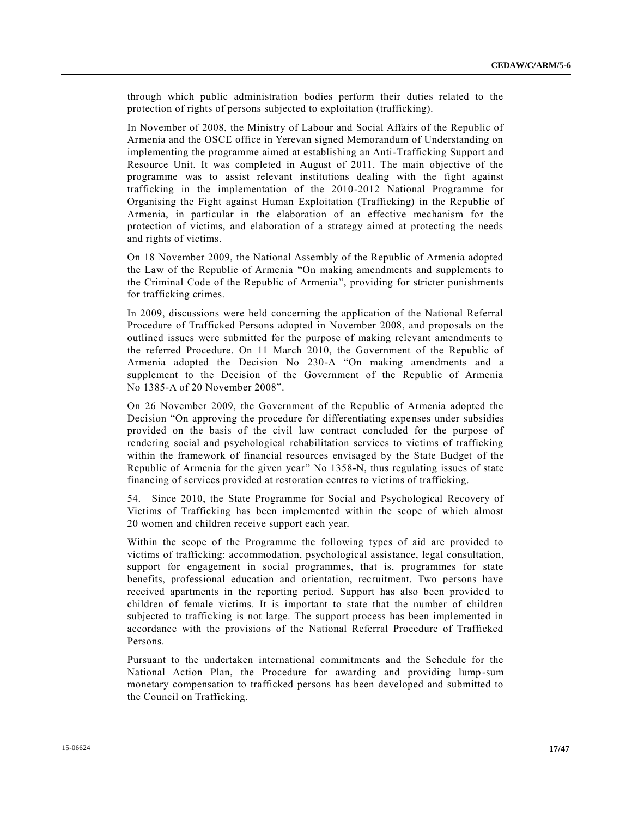through which public administration bodies perform their duties related to the protection of rights of persons subjected to exploitation (trafficking).

In November of 2008, the Ministry of Labour and Social Affairs of the Republic of Armenia and the OSCE office in Yerevan signed Memorandum of Understanding on implementing the programme aimed at establishing an Anti-Trafficking Support and Resource Unit. It was completed in August of 2011. The main objective of the programme was to assist relevant institutions dealing with the fight against trafficking in the implementation of the 2010-2012 National Programme for Organising the Fight against Human Exploitation (Trafficking) in the Republic of Armenia, in particular in the elaboration of an effective mechanism for the protection of victims, and elaboration of a strategy aimed at protecting the needs and rights of victims.

On 18 November 2009, the National Assembly of the Republic of Armenia adopted the Law of the Republic of Armenia "On making amendments and supplements to the Criminal Code of the Republic of Armenia", providing for stricter punishments for trafficking crimes.

In 2009, discussions were held concerning the application of the National Referral Procedure of Trafficked Persons adopted in November 2008, and proposals on the outlined issues were submitted for the purpose of making relevant amendments to the referred Procedure. On 11 March 2010, the Government of the Republic of Armenia adopted the Decision No 230-A "On making amendments and a supplement to the Decision of the Government of the Republic of Armenia No 1385-A of 20 November 2008".

On 26 November 2009, the Government of the Republic of Armenia adopted the Decision "On approving the procedure for differentiating expenses under subsidies provided on the basis of the civil law contract concluded for the purpose of rendering social and psychological rehabilitation services to victims of trafficking within the framework of financial resources envisaged by the State Budget of the Republic of Armenia for the given year" No 1358-N, thus regulating issues of state financing of services provided at restoration centres to victims of trafficking.

54. Since 2010, the State Programme for Social and Psychological Recovery of Victims of Trafficking has been implemented within the scope of which almost 20 women and children receive support each year.

Within the scope of the Programme the following types of aid are provided to victims of trafficking: accommodation, psychological assistance, legal consultation, support for engagement in social programmes, that is, programmes for state benefits, professional education and orientation, recruitment. Two persons have received apartments in the reporting period. Support has also been provided to children of female victims. It is important to state that the number of children subjected to trafficking is not large. The support process has been implemented in accordance with the provisions of the National Referral Procedure of Trafficked Persons.

Pursuant to the undertaken international commitments and the Schedule for the National Action Plan, the Procedure for awarding and providing lump -sum monetary compensation to trafficked persons has been developed and submitted to the Council on Trafficking.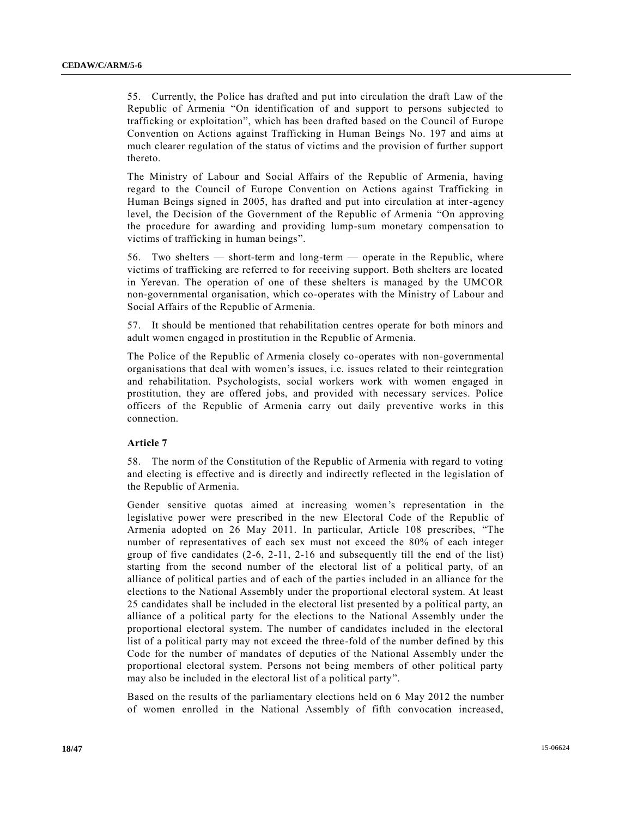55. Currently, the Police has drafted and put into circulation the draft Law of the Republic of Armenia "On identification of and support to persons subjected to trafficking or exploitation", which has been drafted based on the Council of Europe Convention on Actions against Trafficking in Human Beings No. 197 and aims at much clearer regulation of the status of victims and the provision of further support thereto.

The Ministry of Labour and Social Affairs of the Republic of Armenia, having regard to the Council of Europe Convention on Actions against Trafficking in Human Beings signed in 2005, has drafted and put into circulation at inter-agency level, the Decision of the Government of the Republic of Armenia "On approving the procedure for awarding and providing lump-sum monetary compensation to victims of trafficking in human beings".

56. Two shelters — short-term and long-term — operate in the Republic, where victims of trafficking are referred to for receiving support. Both shelters are located in Yerevan. The operation of one of these shelters is managed by the UMCOR non-governmental organisation, which co-operates with the Ministry of Labour and Social Affairs of the Republic of Armenia.

57. It should be mentioned that rehabilitation centres operate for both minors and adult women engaged in prostitution in the Republic of Armenia.

The Police of the Republic of Armenia closely co-operates with non-governmental organisations that deal with women's issues, i.e. issues related to their reintegration and rehabilitation. Psychologists, social workers work with women engaged in prostitution, they are offered jobs, and provided with necessary services. Police officers of the Republic of Armenia carry out daily preventive works in this connection.

#### **Article 7**

58. The norm of the Constitution of the Republic of Armenia with regard to voting and electing is effective and is directly and indirectly reflected in the legislation of the Republic of Armenia.

Gender sensitive quotas aimed at increasing women's representation in the legislative power were prescribed in the new Electoral Code of the Republic of Armenia adopted on 26 May 2011. In particular, Article 108 prescribes, "The number of representatives of each sex must not exceed the 80% of each integer group of five candidates (2-6, 2-11, 2-16 and subsequently till the end of the list) starting from the second number of the electoral list of a political party, of an alliance of political parties and of each of the parties included in an alliance for the elections to the National Assembly under the proportional electoral system. At least 25 candidates shall be included in the electoral list presented by a political party, an alliance of a political party for the elections to the National Assembly under the proportional electoral system. The number of candidates included in the electoral list of a political party may not exceed the three-fold of the number defined by this Code for the number of mandates of deputies of the National Assembly under the proportional electoral system. Persons not being members of other political party may also be included in the electoral list of a political party".

Based on the results of the parliamentary elections held on 6 May 2012 the number of women enrolled in the National Assembly of fifth convocation increased,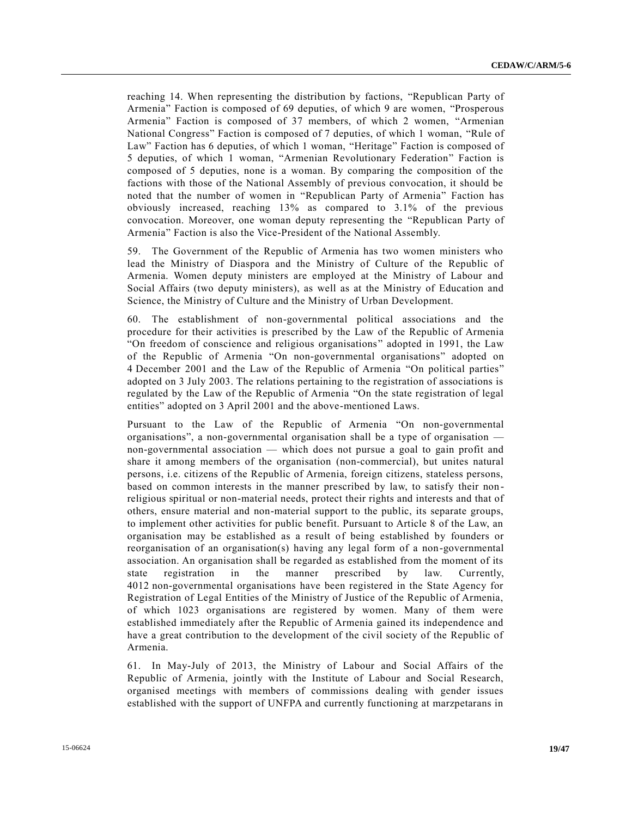reaching 14. When representing the distribution by factions, "Republican Party of Armenia" Faction is composed of 69 deputies, of which 9 are women, "Prosperous Armenia" Faction is composed of 37 members, of which 2 women, "Armenian National Congress" Faction is composed of 7 deputies, of which 1 woman, "Rule of Law" Faction has 6 deputies, of which 1 woman, "Heritage" Faction is composed of 5 deputies, of which 1 woman, "Armenian Revolutionary Federation" Faction is composed of 5 deputies, none is a woman. By comparing the composition of the factions with those of the National Assembly of previous convocation, it should be noted that the number of women in "Republican Party of Armenia" Faction has obviously increased, reaching 13% as compared to 3.1% of the previous convocation. Moreover, one woman deputy representing the "Republican Party of Armenia" Faction is also the Vice-President of the National Assembly.

59. The Government of the Republic of Armenia has two women ministers who lead the Ministry of Diaspora and the Ministry of Culture of the Republic of Armenia. Women deputy ministers are employed at the Ministry of Labour and Social Affairs (two deputy ministers), as well as at the Ministry of Education and Science, the Ministry of Culture and the Ministry of Urban Development.

60. The establishment of non-governmental political associations and the procedure for their activities is prescribed by the Law of the Republic of Armenia "On freedom of conscience and religious organisations" adopted in 1991, the Law of the Republic of Armenia "On non-governmental organisations" adopted on 4 December 2001 and the Law of the Republic of Armenia "On political parties" adopted on 3 July 2003. The relations pertaining to the registration of associations is regulated by the Law of the Republic of Armenia "On the state registration of legal entities" adopted on 3 April 2001 and the above-mentioned Laws.

Pursuant to the Law of the Republic of Armenia "On non-governmental organisations", a non-governmental organisation shall be a type of organisation non-governmental association — which does not pursue a goal to gain profit and share it among members of the organisation (non-commercial), but unites natural persons, i.e. citizens of the Republic of Armenia, foreign citizens, stateless persons, based on common interests in the manner prescribed by law, to satisfy their non religious spiritual or non-material needs, protect their rights and interests and that of others, ensure material and non-material support to the public, its separate groups, to implement other activities for public benefit. Pursuant to Article 8 of the Law, an organisation may be established as a result of being established by founders or reorganisation of an organisation(s) having any legal form of a non-governmental association. An organisation shall be regarded as established from the moment of its state registration in the manner prescribed by law. Currently, 4012 non-governmental organisations have been registered in the State Agency for Registration of Legal Entities of the Ministry of Justice of the Republic of Armenia, of which 1023 organisations are registered by women. Many of them were established immediately after the Republic of Armenia gained its independence and have a great contribution to the development of the civil society of the Republic of Armenia.

61. In May-July of 2013, the Ministry of Labour and Social Affairs of the Republic of Armenia, jointly with the Institute of Labour and Social Research, organised meetings with members of commissions dealing with gender issues established with the support of UNFPA and currently functioning at marzpetarans in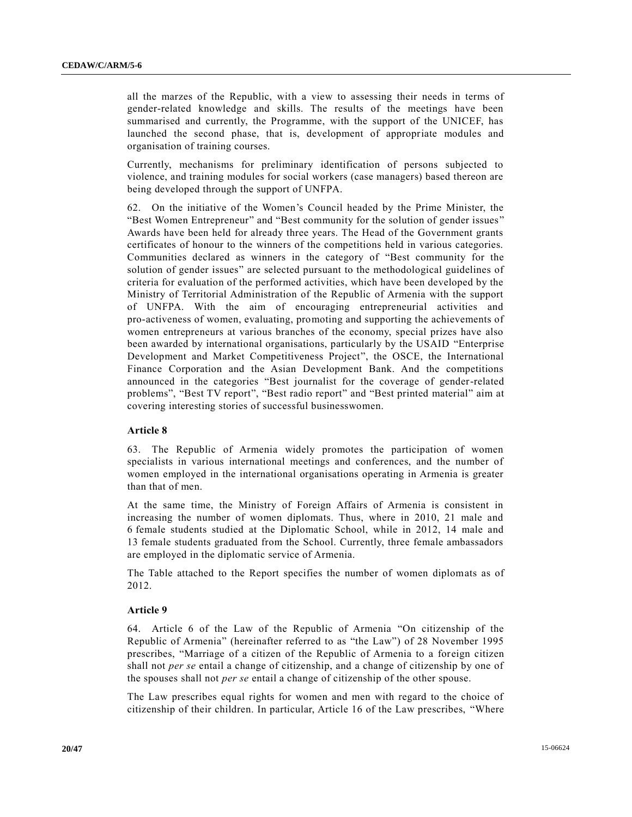all the marzes of the Republic, with a view to assessing their needs in terms of gender-related knowledge and skills. The results of the meetings have been summarised and currently, the Programme, with the support of the UNICEF, has launched the second phase, that is, development of appropriate modules and organisation of training courses.

Currently, mechanisms for preliminary identification of persons subjected to violence, and training modules for social workers (case managers) based thereon are being developed through the support of UNFPA.

62. On the initiative of the Women's Council headed by the Prime Minister, the "Best Women Entrepreneur" and "Best community for the solution of gender issues" Awards have been held for already three years. The Head of the Government grants certificates of honour to the winners of the competitions held in various categories. Communities declared as winners in the category of "Best community for the solution of gender issues" are selected pursuant to the methodological guidelines of criteria for evaluation of the performed activities, which have been developed by the Ministry of Territorial Administration of the Republic of Armenia with the support of UNFPA. With the aim of encouraging entrepreneurial activities and pro-activeness of women, evaluating, promoting and supporting the achievements of women entrepreneurs at various branches of the economy, special prizes have also been awarded by international organisations, particularly by the USAID "Enterprise Development and Market Competitiveness Project", the OSCE, the International Finance Corporation and the Asian Development Bank. And the competitions announced in the categories "Best journalist for the coverage of gender-related problems", "Best TV report", "Best radio report" and "Best printed material" aim at covering interesting stories of successful businesswomen.

## **Article 8**

63. The Republic of Armenia widely promotes the participation of women specialists in various international meetings and conferences, and the number of women employed in the international organisations operating in Armenia is greater than that of men.

At the same time, the Ministry of Foreign Affairs of Armenia is consistent in increasing the number of women diplomats. Thus, where in 2010, 21 male and 6 female students studied at the Diplomatic School, while in 2012, 14 male and 13 female students graduated from the School. Currently, three female ambassadors are employed in the diplomatic service of Armenia.

The Table attached to the Report specifies the number of women diplomats as of 2012.

#### **Article 9**

64. Article 6 of the Law of the Republic of Armenia "On citizenship of the Republic of Armenia" (hereinafter referred to as "the Law") of 28 November 1995 prescribes, "Marriage of a citizen of the Republic of Armenia to a foreign citizen shall not *per se* entail a change of citizenship, and a change of citizenship by one of the spouses shall not *per se* entail a change of citizenship of the other spouse.

The Law prescribes equal rights for women and men with regard to the choice of citizenship of their children. In particular, Article 16 of the Law prescribes, "Where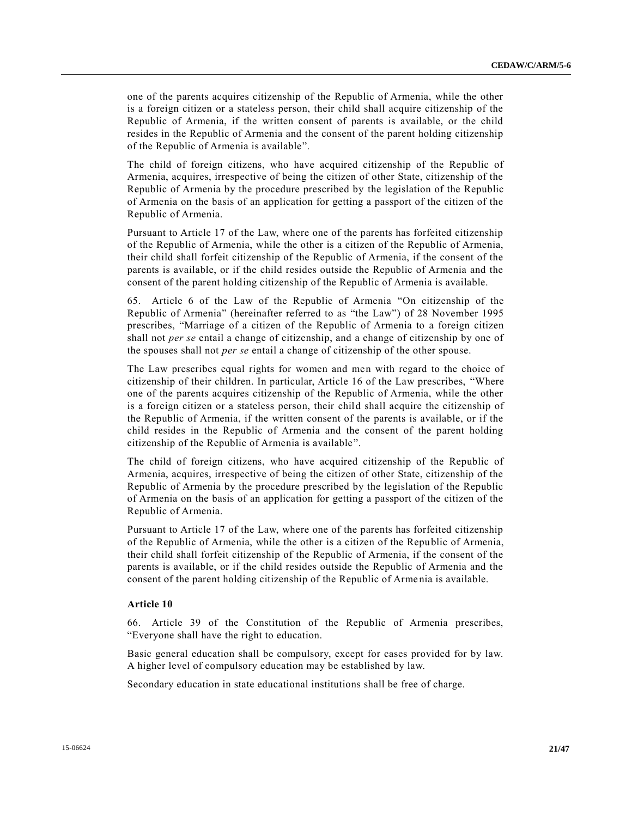one of the parents acquires citizenship of the Republic of Armenia, while the other is a foreign citizen or a stateless person, their child shall acquire citizenship of the Republic of Armenia, if the written consent of parents is available, or the child resides in the Republic of Armenia and the consent of the parent holding citizenship of the Republic of Armenia is available".

The child of foreign citizens, who have acquired citizenship of the Republic of Armenia, acquires, irrespective of being the citizen of other State, citizenship of the Republic of Armenia by the procedure prescribed by the legislation of the Republic of Armenia on the basis of an application for getting a passport of the citizen of the Republic of Armenia.

Pursuant to Article 17 of the Law, where one of the parents has forfeited citizenship of the Republic of Armenia, while the other is a citizen of the Republic of Armenia, their child shall forfeit citizenship of the Republic of Armenia, if the consent of the parents is available, or if the child resides outside the Republic of Armenia and the consent of the parent holding citizenship of the Republic of Armenia is available.

65. Article 6 of the Law of the Republic of Armenia "On citizenship of the Republic of Armenia" (hereinafter referred to as "the Law") of 28 November 1995 prescribes, "Marriage of a citizen of the Republic of Armenia to a foreign citizen shall not *per se* entail a change of citizenship, and a change of citizenship by one of the spouses shall not *per se* entail a change of citizenship of the other spouse.

The Law prescribes equal rights for women and men with regard to the choice of citizenship of their children. In particular, Article 16 of the Law prescribes, "Where one of the parents acquires citizenship of the Republic of Armenia, while the other is a foreign citizen or a stateless person, their child shall acquire the citizenship of the Republic of Armenia, if the written consent of the parents is available, or if the child resides in the Republic of Armenia and the consent of the parent holding citizenship of the Republic of Armenia is available".

The child of foreign citizens, who have acquired citizenship of the Republic of Armenia, acquires, irrespective of being the citizen of other State, citizenship of the Republic of Armenia by the procedure prescribed by the legislation of the Republic of Armenia on the basis of an application for getting a passport of the citizen of the Republic of Armenia.

Pursuant to Article 17 of the Law, where one of the parents has forfeited citizenship of the Republic of Armenia, while the other is a citizen of the Republic of Armenia, their child shall forfeit citizenship of the Republic of Armenia, if the consent of the parents is available, or if the child resides outside the Republic of Armenia and the consent of the parent holding citizenship of the Republic of Armenia is available.

#### **Article 10**

66. Article 39 of the Constitution of the Republic of Armenia prescribes, "Everyone shall have the right to education.

Basic general education shall be compulsory, except for cases provided for by law. A higher level of compulsory education may be established by law.

Secondary education in state educational institutions shall be free of charge.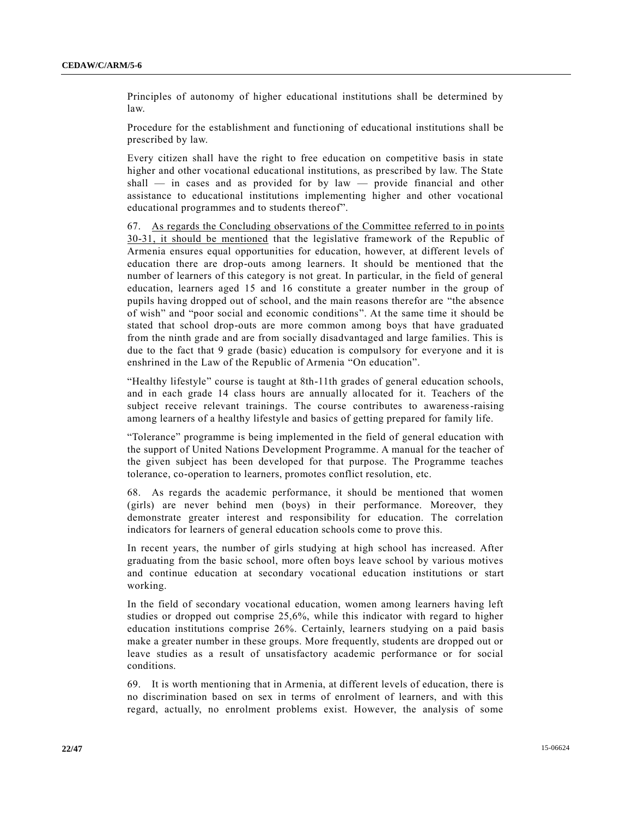Principles of autonomy of higher educational institutions shall be determined by law.

Procedure for the establishment and functioning of educational institutions shall be prescribed by law.

Every citizen shall have the right to free education on competitive basis in state higher and other vocational educational institutions, as prescribed by law. The State shall — in cases and as provided for by law — provide financial and other assistance to educational institutions implementing higher and other vocational educational programmes and to students thereof".

67. As regards the Concluding observations of the Committee referred to in po ints 30-31, it should be mentioned that the legislative framework of the Republic of Armenia ensures equal opportunities for education, however, at different levels of education there are drop-outs among learners. It should be mentioned that the number of learners of this category is not great. In particular, in the field of general education, learners aged 15 and 16 constitute a greater number in the group of pupils having dropped out of school, and the main reasons therefor are "the absence of wish" and "poor social and economic conditions". At the same time it should be stated that school drop-outs are more common among boys that have graduated from the ninth grade and are from socially disadvantaged and large families. This is due to the fact that 9 grade (basic) education is compulsory for everyone and it is enshrined in the Law of the Republic of Armenia "On education".

"Healthy lifestyle" course is taught at 8th-11th grades of general education schools, and in each grade 14 class hours are annually allocated for it. Teachers of the subject receive relevant trainings. The course contributes to awareness-raising among learners of a healthy lifestyle and basics of getting prepared for family life.

"Tolerance" programme is being implemented in the field of general education with the support of United Nations Development Programme. A manual for the teacher of the given subject has been developed for that purpose. The Programme teaches tolerance, co-operation to learners, promotes conflict resolution, etc.

68. As regards the academic performance, it should be mentioned that women (girls) are never behind men (boys) in their performance. Moreover, they demonstrate greater interest and responsibility for education. The correlation indicators for learners of general education schools come to prove this.

In recent years, the number of girls studying at high school has increased. After graduating from the basic school, more often boys leave school by various motives and continue education at secondary vocational education institutions or start working.

In the field of secondary vocational education, women among learners having left studies or dropped out comprise 25,6%, while this indicator with regard to higher education institutions comprise 26%. Certainly, learners studying on a paid basis make a greater number in these groups. More frequently, students are dropped out or leave studies as a result of unsatisfactory academic performance or for social conditions.

69. It is worth mentioning that in Armenia, at different levels of education, there is no discrimination based on sex in terms of enrolment of learners, and with this regard, actually, no enrolment problems exist. However, the analysis of some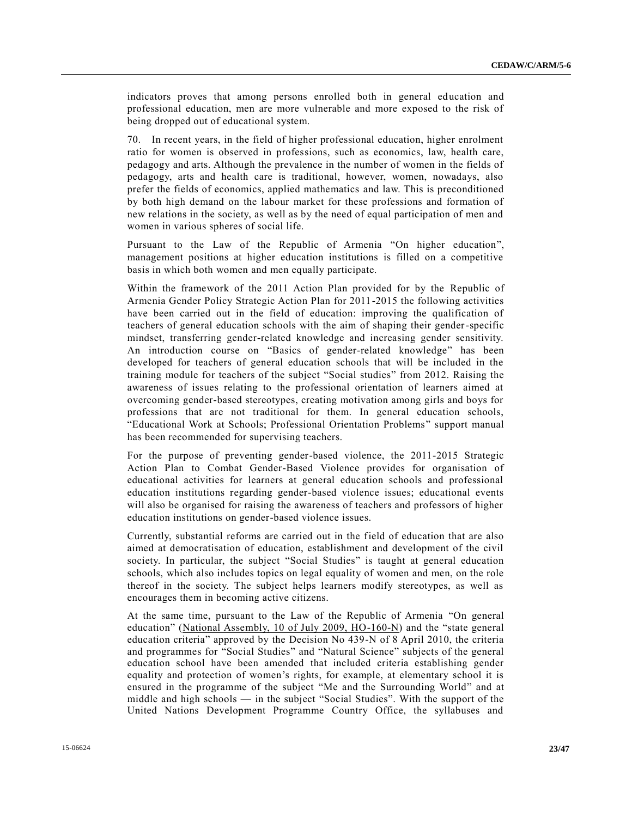indicators proves that among persons enrolled both in general education and professional education, men are more vulnerable and more exposed to the risk of being dropped out of educational system.

70. In recent years, in the field of higher professional education, higher enrolment ratio for women is observed in professions, such as economics, law, health care, pedagogy and arts. Although the prevalence in the number of women in the fields of pedagogy, arts and health care is traditional, however, women, nowadays, also prefer the fields of economics, applied mathematics and law. This is preconditioned by both high demand on the labour market for these professions and formation of new relations in the society, as well as by the need of equal participation of men and women in various spheres of social life.

Pursuant to the Law of the Republic of Armenia "On higher education", management positions at higher education institutions is filled on a competitive basis in which both women and men equally participate.

Within the framework of the 2011 Action Plan provided for by the Republic of Armenia Gender Policy Strategic Action Plan for 2011-2015 the following activities have been carried out in the field of education: improving the qualification of teachers of general education schools with the aim of shaping their gender-specific mindset, transferring gender-related knowledge and increasing gender sensitivity. An introduction course on "Basics of gender-related knowledge" has been developed for teachers of general education schools that will be included in the training module for teachers of the subject "Social studies" from 2012. Raising the awareness of issues relating to the professional orientation of learners aimed at overcoming gender-based stereotypes, creating motivation among girls and boys for professions that are not traditional for them. In general education schools, "Educational Work at Schools; Professional Orientation Problems" support manual has been recommended for supervising teachers.

For the purpose of preventing gender-based violence, the 2011-2015 Strategic Action Plan to Combat Gender-Based Violence provides for organisation of educational activities for learners at general education schools and professional education institutions regarding gender-based violence issues; educational events will also be organised for raising the awareness of teachers and professors of higher education institutions on gender-based violence issues.

Currently, substantial reforms are carried out in the field of education that are also aimed at democratisation of education, establishment and development of the civil society. In particular, the subject "Social Studies" is taught at general education schools, which also includes topics on legal equality of women and men, on the role thereof in the society. The subject helps learners modify stereotypes, as well as encourages them in becoming active citizens.

At the same time, pursuant to the Law of the Republic of Armenia "On general education" (National Assembly, 10 of July 2009, HO-160-N) and the "state general education criteria" approved by the Decision No 439-N of 8 April 2010, the criteria and programmes for "Social Studies" and "Natural Science" subjects of the general education school have been amended that included criteria establishing gender equality and protection of women's rights, for example, at elementary school it is ensured in the programme of the subject "Me and the Surrounding World" and at middle and high schools — in the subject "Social Studies". With the support of the United Nations Development Programme Country Office, the syllabuses and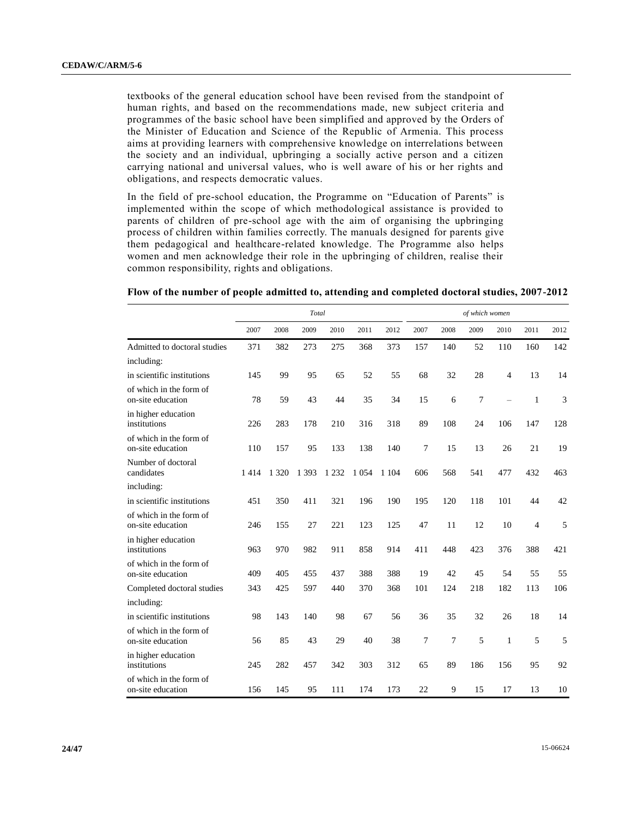textbooks of the general education school have been revised from the standpoint of human rights, and based on the recommendations made, new subject criteria and programmes of the basic school have been simplified and approved by the Orders of the Minister of Education and Science of the Republic of Armenia. This process aims at providing learners with comprehensive knowledge on interrelations between the society and an individual, upbringing a socially active person and a citizen carrying national and universal values, who is well aware of his or her rights and obligations, and respects democratic values.

In the field of pre-school education, the Programme on "Education of Parents" is implemented within the scope of which methodological assistance is provided to parents of children of pre-school age with the aim of organising the upbringing process of children within families correctly. The manuals designed for parents give them pedagogical and healthcare-related knowledge. The Programme also helps women and men acknowledge their role in the upbringing of children, realise their common responsibility, rights and obligations.

| Flow of the number of people admitted to, attending and completed doctoral studies, 2007-2012 |
|-----------------------------------------------------------------------------------------------|
|-----------------------------------------------------------------------------------------------|

|                                              | Total |         |         |         |         |         | of which women |      |      |      |                |      |  |
|----------------------------------------------|-------|---------|---------|---------|---------|---------|----------------|------|------|------|----------------|------|--|
|                                              | 2007  | 2008    | 2009    | 2010    | 2011    | 2012    | 2007           | 2008 | 2009 | 2010 | 2011           | 2012 |  |
| Admitted to doctoral studies                 | 371   | 382     | 273     | 275     | 368     | 373     | 157            | 140  | 52   | 110  | 160            | 142  |  |
| including:                                   |       |         |         |         |         |         |                |      |      |      |                |      |  |
| in scientific institutions                   | 145   | 99      | 95      | 65      | 52      | 55      | 68             | 32   | 28   | 4    | 13             | 14   |  |
| of which in the form of<br>on-site education | 78    | 59      | 43      | 44      | 35      | 34      | 15             | 6    | 7    |      | 1              | 3    |  |
| in higher education<br>institutions          | 226   | 283     | 178     | 210     | 316     | 318     | 89             | 108  | 24   | 106  | 147            | 128  |  |
| of which in the form of<br>on-site education | 110   | 157     | 95      | 133     | 138     | 140     | 7              | 15   | 13   | 26   | 21             | 19   |  |
| Number of doctoral<br>candidates             | 1414  | 1 3 2 0 | 1 3 9 3 | 1 2 3 2 | 1 0 5 4 | 1 1 0 4 | 606            | 568  | 541  | 477  | 432            | 463  |  |
| including:                                   |       |         |         |         |         |         |                |      |      |      |                |      |  |
| in scientific institutions                   | 451   | 350     | 411     | 321     | 196     | 190     | 195            | 120  | 118  | 101  | 44             | 42   |  |
| of which in the form of<br>on-site education | 246   | 155     | 27      | 221     | 123     | 125     | 47             | 11   | 12   | 10   | $\overline{4}$ | 5    |  |
| in higher education<br>institutions          | 963   | 970     | 982     | 911     | 858     | 914     | 411            | 448  | 423  | 376  | 388            | 421  |  |
| of which in the form of<br>on-site education | 409   | 405     | 455     | 437     | 388     | 388     | 19             | 42   | 45   | 54   | 55             | 55   |  |
| Completed doctoral studies                   | 343   | 425     | 597     | 440     | 370     | 368     | 101            | 124  | 218  | 182  | 113            | 106  |  |
| including:                                   |       |         |         |         |         |         |                |      |      |      |                |      |  |
| in scientific institutions                   | 98    | 143     | 140     | 98      | 67      | 56      | 36             | 35   | 32   | 26   | 18             | 14   |  |
| of which in the form of<br>on-site education | 56    | 85      | 43      | 29      | 40      | 38      | 7              | 7    | 5    | 1    | 5              | 5    |  |
| in higher education<br>institutions          | 245   | 282     | 457     | 342     | 303     | 312     | 65             | 89   | 186  | 156  | 95             | 92   |  |
| of which in the form of<br>on-site education | 156   | 145     | 95      | 111     | 174     | 173     | 22             | 9    | 15   | 17   | 13             | 10   |  |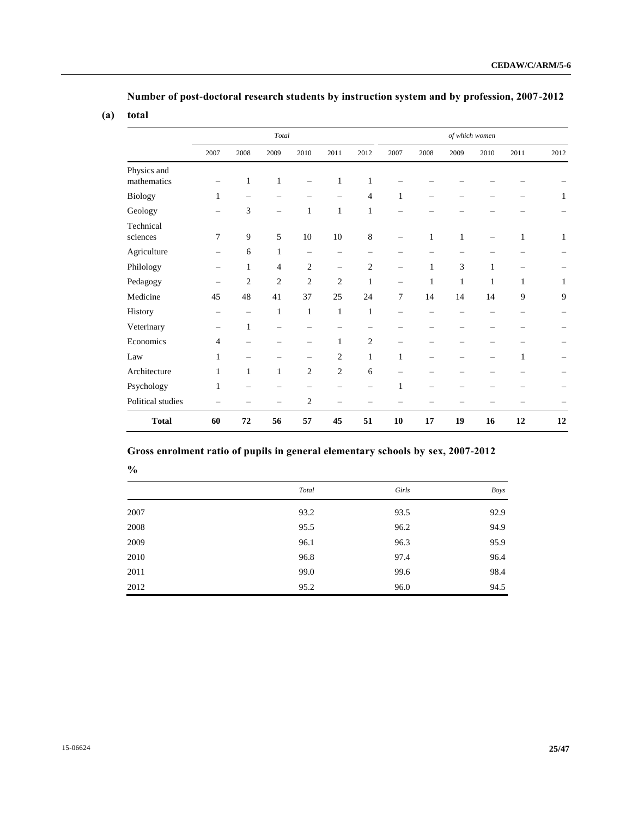**Number of post-doctoral research students by instruction system and by profession, 2007-2012**

## **(a) total**

|                            |                          |                          | Total          |                |                          |                | of which women           |      |              |              |              |              |
|----------------------------|--------------------------|--------------------------|----------------|----------------|--------------------------|----------------|--------------------------|------|--------------|--------------|--------------|--------------|
|                            | 2007                     | 2008                     | 2009           | 2010           | 2011                     | 2012           | 2007                     | 2008 | 2009         | 2010         | 2011         | 2012         |
| Physics and<br>mathematics |                          | $\mathbf{1}$             | $\mathbf{1}$   |                | 1                        | $\mathbf{1}$   |                          |      |              |              |              |              |
| Biology                    | 1                        |                          |                |                |                          | $\overline{4}$ | $\mathbf{1}$             |      |              |              |              | 1            |
| Geology                    |                          | 3                        |                | $\mathbf{1}$   | $\mathbf{1}$             | $\mathbf{1}$   |                          |      |              |              |              |              |
| Technical<br>sciences      | 7                        | 9                        | 5              | 10             | 10                       | 8              |                          | 1    | $\mathbf{1}$ |              | $\mathbf{1}$ | $\mathbf{1}$ |
| Agriculture                | $\overline{\phantom{0}}$ | 6                        | $\mathbf{1}$   | -              | -                        |                |                          |      |              |              |              |              |
| Philology                  | $\qquad \qquad -$        | $\mathbf{1}$             | 4              | $\overline{2}$ | $\overline{\phantom{m}}$ | $\overline{c}$ | $\overline{\phantom{m}}$ | 1    | 3            | $\mathbf{1}$ |              |              |
| Pedagogy                   | $\overline{\phantom{m}}$ | $\mathfrak{2}$           | $\overline{2}$ | $\overline{2}$ | $\mathfrak{2}$           | 1              | $\qquad \qquad -$        | 1    | $\mathbf{1}$ | $\mathbf{1}$ | $\mathbf{1}$ | $\mathbf{1}$ |
| Medicine                   | 45                       | 48                       | 41             | 37             | 25                       | 24             | 7                        | 14   | 14           | 14           | 9            | 9            |
| History                    |                          | $\overline{\phantom{0}}$ | $\mathbf{1}$   | $\mathbf{1}$   | $\mathbf{1}$             | 1              | $\overline{\phantom{0}}$ |      |              |              |              |              |
| Veterinary                 |                          | $\mathbf{1}$             |                |                |                          |                |                          |      |              |              |              |              |
| Economics                  | $\overline{4}$           |                          |                |                | $\mathbf{1}$             | $\overline{c}$ |                          |      |              |              |              |              |
| Law                        | 1                        |                          |                | -              | 2                        | $\mathbf{1}$   | $\mathbf{1}$             |      |              |              | $\mathbf{1}$ |              |
| Architecture               | $\mathbf{1}$             | $\mathbf{1}$             | $\mathbf{1}$   | $\overline{2}$ | $\overline{c}$           | 6              |                          |      |              |              |              |              |
| Psychology                 | $\mathbf{1}$             |                          |                |                |                          |                | $\mathbf{1}$             |      |              |              |              |              |
| Political studies          |                          |                          |                | $\overline{c}$ |                          |                |                          |      |              |              |              |              |
| <b>Total</b>               | 60                       | 72                       | 56             | 57             | 45                       | 51             | 10                       | 17   | 19           | 16           | 12           | 12           |

# **Gross enrolment ratio of pupils in general elementary schools by sex, 2007-2012**

| ×            | ٠<br>I       |
|--------------|--------------|
| M.<br>I<br>I | I<br>×<br>۰, |

|      | Total | Girls | Boys |
|------|-------|-------|------|
| 2007 | 93.2  | 93.5  | 92.9 |
| 2008 | 95.5  | 96.2  | 94.9 |
| 2009 | 96.1  | 96.3  | 95.9 |
| 2010 | 96.8  | 97.4  | 96.4 |
| 2011 | 99.0  | 99.6  | 98.4 |
| 2012 | 95.2  | 96.0  | 94.5 |
|      |       |       |      |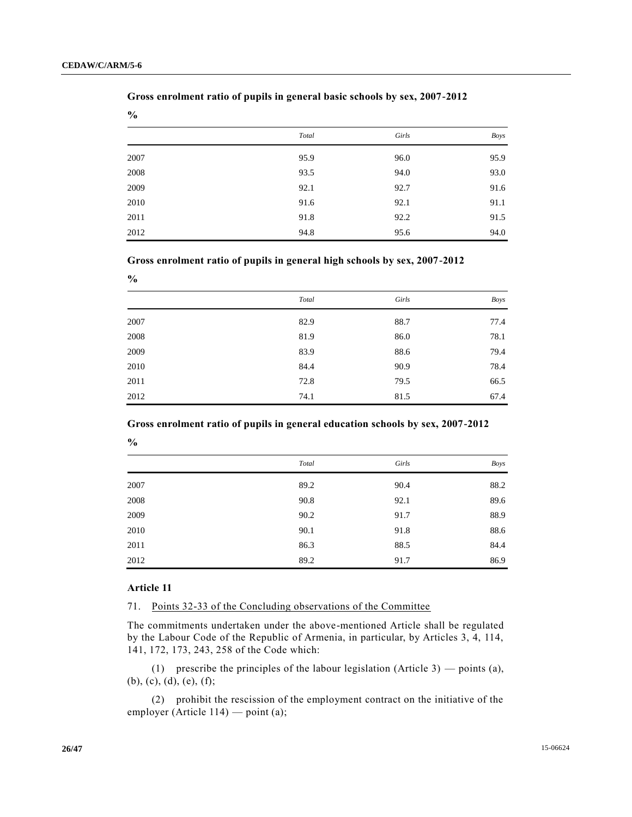**%**

|      | Total | Girls | Boys |
|------|-------|-------|------|
| 2007 | 95.9  | 96.0  | 95.9 |
| 2008 | 93.5  | 94.0  | 93.0 |
| 2009 | 92.1  | 92.7  | 91.6 |
| 2010 | 91.6  | 92.1  | 91.1 |
| 2011 | 91.8  | 92.2  | 91.5 |
| 2012 | 94.8  | 95.6  | 94.0 |

## **Gross enrolment ratio of pupils in general basic schools by sex, 2007-2012**

**Gross enrolment ratio of pupils in general high schools by sex, 2007-2012**

| $\frac{0}{0}$ |       |       |             |
|---------------|-------|-------|-------------|
|               | Total | Girls | <b>Boys</b> |
| 2007          | 82.9  | 88.7  | 77.4        |
| 2008          | 81.9  | 86.0  | 78.1        |
| 2009          | 83.9  | 88.6  | 79.4        |
| 2010          | 84.4  | 90.9  | 78.4        |
| 2011          | 72.8  | 79.5  | 66.5        |
| 2012          | 74.1  | 81.5  | 67.4        |

**Gross enrolment ratio of pupils in general education schools by sex, 2007-2012**

|      | Total | Girls | Boys |
|------|-------|-------|------|
| 2007 | 89.2  | 90.4  | 88.2 |
| 2008 | 90.8  | 92.1  | 89.6 |
| 2009 | 90.2  | 91.7  | 88.9 |
| 2010 | 90.1  | 91.8  | 88.6 |
| 2011 | 86.3  | 88.5  | 84.4 |
| 2012 | 89.2  | 91.7  | 86.9 |

#### **Article 11**

**%**

71. Points 32-33 of the Concluding observations of the Committee

The commitments undertaken under the above-mentioned Article shall be regulated by the Labour Code of the Republic of Armenia, in particular, by Articles 3, 4, 114, 141, 172, 173, 243, 258 of the Code which:

(1) prescribe the principles of the labour legislation (Article 3) — points (a), (b), (c), (d), (e), (f);

(2) prohibit the rescission of the employment contract on the initiative of the employer (Article 114) — point (a);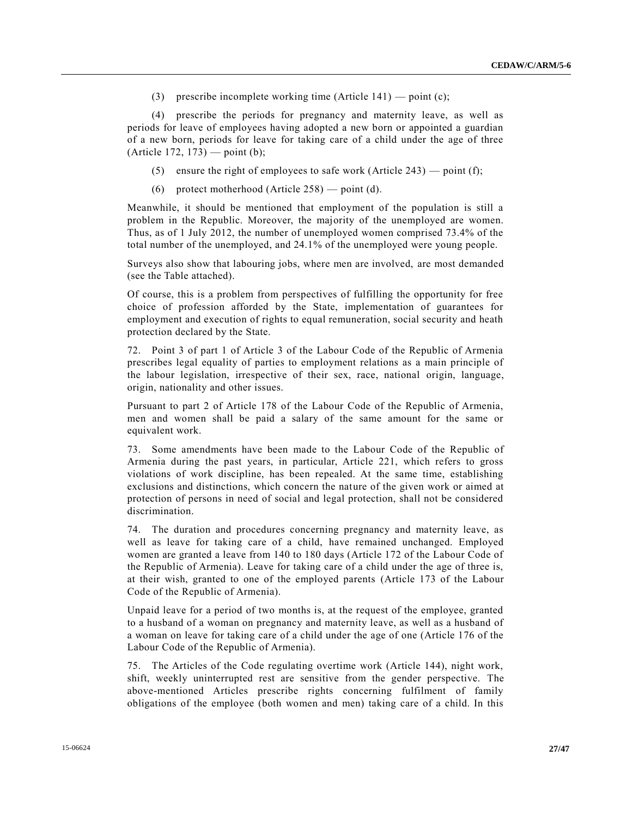(3) prescribe incomplete working time (Article 141) — point (c);

(4) prescribe the periods for pregnancy and maternity leave, as well as periods for leave of employees having adopted a new born or appointed a guardian of a new born, periods for leave for taking care of a child under the age of three  $(A$ rticle 172, 173 $)$  — point (b);

- (5) ensure the right of employees to safe work (Article 243) point (f);
- (6) protect motherhood (Article 258) point (d).

Meanwhile, it should be mentioned that employment of the population is still a problem in the Republic. Moreover, the majority of the unemployed are women. Thus, as of 1 July 2012, the number of unemployed women comprised 73.4% of the total number of the unemployed, and 24.1% of the unemployed were young people.

Surveys also show that labouring jobs, where men are involved, are most demanded (see the Table attached).

Of course, this is a problem from perspectives of fulfilling the opportunity for free choice of profession afforded by the State, implementation of guarantees for employment and execution of rights to equal remuneration, social security and heath protection declared by the State.

72. Point 3 of part 1 of Article 3 of the Labour Code of the Republic of Armenia prescribes legal equality of parties to employment relations as a main principle of the labour legislation, irrespective of their sex, race, national origin, language, origin, nationality and other issues.

Pursuant to part 2 of Article 178 of the Labour Code of the Republic of Armenia, men and women shall be paid a salary of the same amount for the same or equivalent work.

73. Some amendments have been made to the Labour Code of the Republic of Armenia during the past years, in particular, Article 221, which refers to gross violations of work discipline, has been repealed. At the same time, establishing exclusions and distinctions, which concern the nature of the given work or aimed at protection of persons in need of social and legal protection, shall not be considered discrimination.

74. The duration and procedures concerning pregnancy and maternity leave, as well as leave for taking care of a child, have remained unchanged. Employed women are granted a leave from 140 to 180 days (Article 172 of the Labour Code of the Republic of Armenia). Leave for taking care of a child under the age of three is, at their wish, granted to one of the employed parents (Article 173 of the Labour Code of the Republic of Armenia).

Unpaid leave for a period of two months is, at the request of the employee, granted to a husband of a woman on pregnancy and maternity leave, as well as a husband of a woman on leave for taking care of a child under the age of one (Article 176 of the Labour Code of the Republic of Armenia).

75. The Articles of the Code regulating overtime work (Article 144), night work, shift, weekly uninterrupted rest are sensitive from the gender perspective. The above-mentioned Articles prescribe rights concerning fulfilment of family obligations of the employee (both women and men) taking care of a child. In this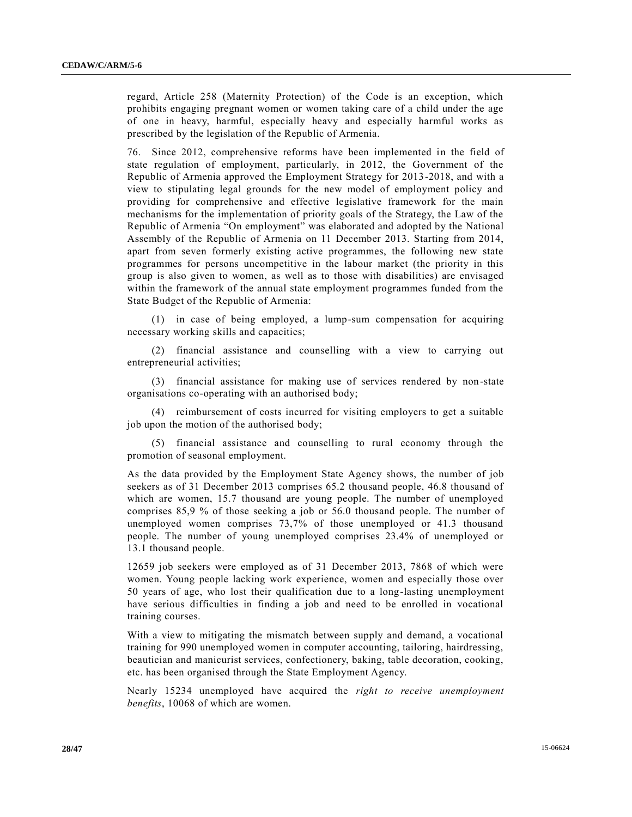regard, Article 258 (Maternity Protection) of the Code is an exception, which prohibits engaging pregnant women or women taking care of a child under the age of one in heavy, harmful, especially heavy and especially harmful works as prescribed by the legislation of the Republic of Armenia.

76. Since 2012, comprehensive reforms have been implemented in the field of state regulation of employment, particularly, in 2012, the Government of the Republic of Armenia approved the Employment Strategy for 2013-2018, and with a view to stipulating legal grounds for the new model of employment policy and providing for comprehensive and effective legislative framework for the main mechanisms for the implementation of priority goals of the Strategy, the Law of the Republic of Armenia "On employment" was elaborated and adopted by the National Assembly of the Republic of Armenia on 11 December 2013. Starting from 2014, apart from seven formerly existing active programmes, the following new state programmes for persons uncompetitive in the labour market (the priority in this group is also given to women, as well as to those with disabilities) are envisaged within the framework of the annual state employment programmes funded from the State Budget of the Republic of Armenia:

(1) in case of being employed, a lump-sum compensation for acquiring necessary working skills and capacities;

(2) financial assistance and counselling with a view to carrying out entrepreneurial activities;

(3) financial assistance for making use of services rendered by non-state organisations co-operating with an authorised body;

(4) reimbursement of costs incurred for visiting employers to get a suitable job upon the motion of the authorised body;

(5) financial assistance and counselling to rural economy through the promotion of seasonal employment.

As the data provided by the Employment State Agency shows, the number of job seekers as of 31 December 2013 comprises 65.2 thousand people, 46.8 thousand of which are women, 15.7 thousand are young people. The number of unemployed comprises 85,9 % of those seeking a job or 56.0 thousand people. The number of unemployed women comprises 73,7% of those unemployed or 41.3 thousand people. The number of young unemployed comprises 23.4% of unemployed or 13.1 thousand people.

12659 job seekers were employed as of 31 December 2013, 7868 of which were women. Young people lacking work experience, women and especially those over 50 years of age, who lost their qualification due to a long-lasting unemployment have serious difficulties in finding a job and need to be enrolled in vocational training courses.

With a view to mitigating the mismatch between supply and demand, a vocational training for 990 unemployed women in computer accounting, tailoring, hairdressing, beautician and manicurist services, confectionery, baking, table decoration, cooking, etc. has been organised through the State Employment Agency.

Nearly 15234 unemployed have acquired the *right to receive unemployment benefits*, 10068 of which are women.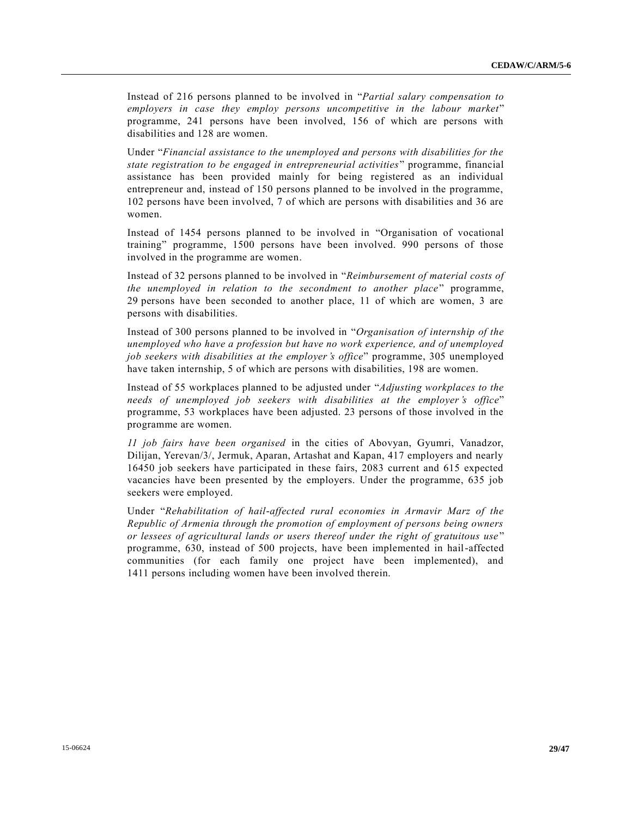Instead of 216 persons planned to be involved in "*Partial salary compensation to employers in case they employ persons uncompetitive in the labour market*" programme, 241 persons have been involved, 156 of which are persons with disabilities and 128 are women.

Under "*Financial assistance to the unemployed and persons with disabilities for the state registration to be engaged in entrepreneurial activities*" programme, financial assistance has been provided mainly for being registered as an individual entrepreneur and, instead of 150 persons planned to be involved in the programme, 102 persons have been involved, 7 of which are persons with disabilities and 36 are women.

Instead of 1454 persons planned to be involved in "Organisation of vocational training" programme, 1500 persons have been involved. 990 persons of those involved in the programme are women.

Instead of 32 persons planned to be involved in "*Reimbursement of material costs of the unemployed in relation to the secondment to another place*" programme, 29 persons have been seconded to another place, 11 of which are women, 3 are persons with disabilities.

Instead of 300 persons planned to be involved in "*Organisation of internship of the unemployed who have a profession but have no work experience, and of unemployed job seekers with disabilities at the employer's office*" programme, 305 unemployed have taken internship, 5 of which are persons with disabilities, 198 are women.

Instead of 55 workplaces planned to be adjusted under "*Adjusting workplaces to the needs of unemployed job seekers with disabilities at the employer's office*" programme, 53 workplaces have been adjusted. 23 persons of those involved in the programme are women.

*11 job fairs have been organised* in the cities of Abovyan, Gyumri, Vanadzor, Dilijan, Yerevan/3/, Jermuk, Aparan, Artashat and Kapan, 417 employers and nearly 16450 job seekers have participated in these fairs, 2083 current and 615 expected vacancies have been presented by the employers. Under the programme, 635 job seekers were employed.

Under "*Rehabilitation of hail-affected rural economies in Armavir Marz of the Republic of Armenia through the promotion of employment of persons being owners or lessees of agricultural lands or users thereof under the right of gratuitous use* " programme, 630, instead of 500 projects, have been implemented in hail-affected communities (for each family one project have been implemented), and 1411 persons including women have been involved therein.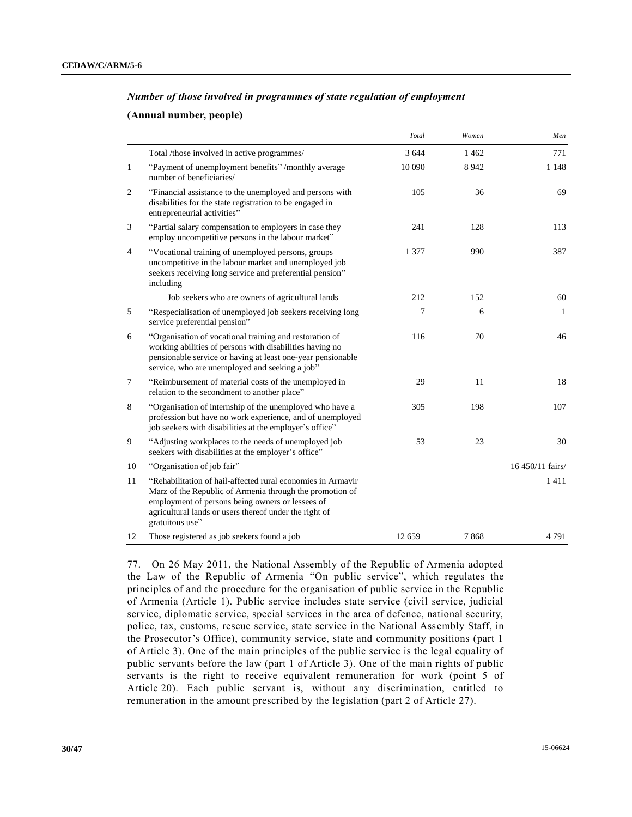## *Number of those involved in programmes of state regulation of employment*

## **(Annual number, people)**

|                |                                                                                                                                                                                                                                                          | Total   | Women   | Men              |
|----------------|----------------------------------------------------------------------------------------------------------------------------------------------------------------------------------------------------------------------------------------------------------|---------|---------|------------------|
|                | Total /those involved in active programmes/                                                                                                                                                                                                              | 3 6 4 4 | 1462    | 771              |
| $\mathbf{1}$   | "Payment of unemployment benefits" /monthly average<br>number of beneficiaries/                                                                                                                                                                          | 10 090  | 8 9 4 2 | 1 1 4 8          |
| $\overline{2}$ | "Financial assistance to the unemployed and persons with<br>disabilities for the state registration to be engaged in<br>entrepreneurial activities"                                                                                                      | 105     | 36      | 69               |
| 3              | "Partial salary compensation to employers in case they<br>employ uncompetitive persons in the labour market"                                                                                                                                             | 241     | 128     | 113              |
| $\overline{4}$ | "Vocational training of unemployed persons, groups<br>uncompetitive in the labour market and unemployed job<br>seekers receiving long service and preferential pension"<br>including                                                                     | 1 377   | 990     | 387              |
|                | Job seekers who are owners of agricultural lands                                                                                                                                                                                                         | 212     | 152     | 60               |
| 5              | "Respecialisation of unemployed job seekers receiving long<br>service preferential pension"                                                                                                                                                              | 7       | 6       | 1                |
| 6              | "Organisation of vocational training and restoration of<br>working abilities of persons with disabilities having no<br>pensionable service or having at least one-year pensionable<br>service, who are unemployed and seeking a job"                     | 116     | 70      | 46               |
| 7              | "Reimbursement of material costs of the unemployed in<br>relation to the secondment to another place"                                                                                                                                                    | 29      | 11      | 18               |
| 8              | "Organisation of internship of the unemployed who have a<br>profession but have no work experience, and of unemployed<br>job seekers with disabilities at the employer's office"                                                                         | 305     | 198     | 107              |
| 9              | "Adjusting workplaces to the needs of unemployed job<br>seekers with disabilities at the employer's office"                                                                                                                                              | 53      | 23      | 30               |
| 10             | "Organisation of job fair"                                                                                                                                                                                                                               |         |         | 16 450/11 fairs/ |
| 11             | "Rehabilitation of hail-affected rural economies in Armavir<br>Marz of the Republic of Armenia through the promotion of<br>employment of persons being owners or lessees of<br>agricultural lands or users thereof under the right of<br>gratuitous use" |         |         | 1411             |
| 12             | Those registered as job seekers found a job                                                                                                                                                                                                              | 12 659  | 7868    | 4791             |

77. On 26 May 2011, the National Assembly of the Republic of Armenia adopted the Law of the Republic of Armenia "On public service", which regulates the principles of and the procedure for the organisation of public service in the Republic of Armenia (Article 1). Public service includes state service (civil service, judicial service, diplomatic service, special services in the area of defence, national security, police, tax, customs, rescue service, state service in the National Ass embly Staff, in the Prosecutor's Office), community service, state and community positions (part 1 of Article 3). One of the main principles of the public service is the legal equality of public servants before the law (part 1 of Article 3). One of the main rights of public servants is the right to receive equivalent remuneration for work (point 5 of Article 20). Each public servant is, without any discrimination, entitled to remuneration in the amount prescribed by the legislation (part 2 of Article 27).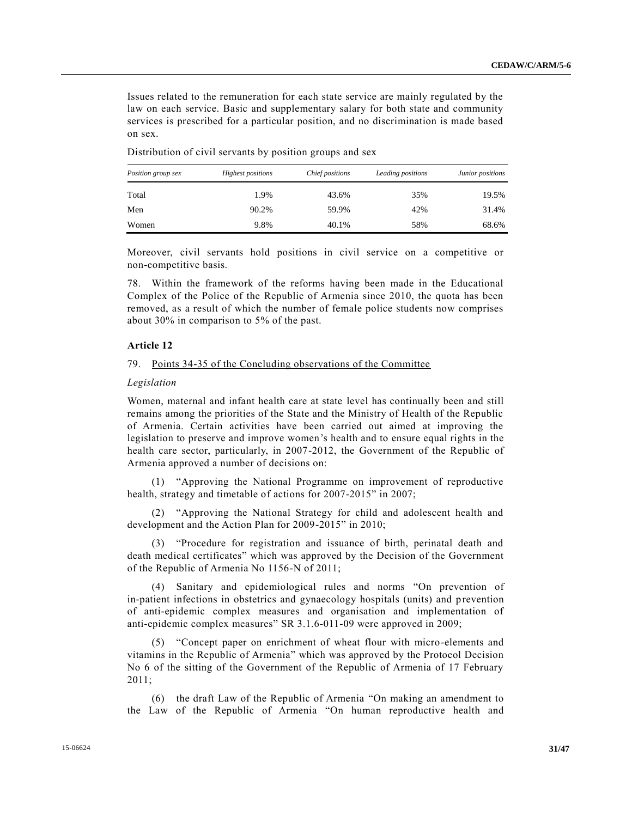Issues related to the remuneration for each state service are mainly regulated by the law on each service. Basic and supplementary salary for both state and community services is prescribed for a particular position, and no discrimination is made based on sex.

| Position group sex | <b>Highest positions</b> | Chief positions | Leading positions | Junior positions |
|--------------------|--------------------------|-----------------|-------------------|------------------|
| Total              | 1.9%                     | 43.6%           | 35%               | 19.5%            |
| Men                | 90.2%                    | 59.9%           | 42%               | 31.4%            |
| Women              | 9.8%                     | 40.1%           | 58%               | 68.6%            |

Distribution of civil servants by position groups and sex

Moreover, civil servants hold positions in civil service on a competitive or non-competitive basis.

78. Within the framework of the reforms having been made in the Educational Complex of the Police of the Republic of Armenia since 2010, the quota has been removed, as a result of which the number of female police students now comprises about 30% in comparison to 5% of the past.

#### **Article 12**

#### 79. Points 34-35 of the Concluding observations of the Committee

#### *Legislation*

Women, maternal and infant health care at state level has continually been and still remains among the priorities of the State and the Ministry of Health of the Republic of Armenia. Certain activities have been carried out aimed at improving the legislation to preserve and improve women's health and to ensure equal rights in the health care sector, particularly, in 2007-2012, the Government of the Republic of Armenia approved a number of decisions on:

(1) "Approving the National Programme on improvement of reproductive health, strategy and timetable of actions for 2007-2015" in 2007;

(2) "Approving the National Strategy for child and adolescent health and development and the Action Plan for 2009-2015" in 2010;

(3) "Procedure for registration and issuance of birth, perinatal death and death medical certificates" which was approved by the Decision of the Government of the Republic of Armenia No 1156-N of 2011;

(4) Sanitary and epidemiological rules and norms "On prevention of in-patient infections in obstetrics and gynaecology hospitals (units) and prevention of anti-epidemic complex measures and organisation and implementation of anti-epidemic complex measures" SR 3.1.6-011-09 were approved in 2009;

(5) "Concept paper on enrichment of wheat flour with micro-elements and vitamins in the Republic of Armenia" which was approved by the Protocol Decision No 6 of the sitting of the Government of the Republic of Armenia of 17 February 2011;

(6) the draft Law of the Republic of Armenia "On making an amendment to the Law of the Republic of Armenia "On human reproductive health and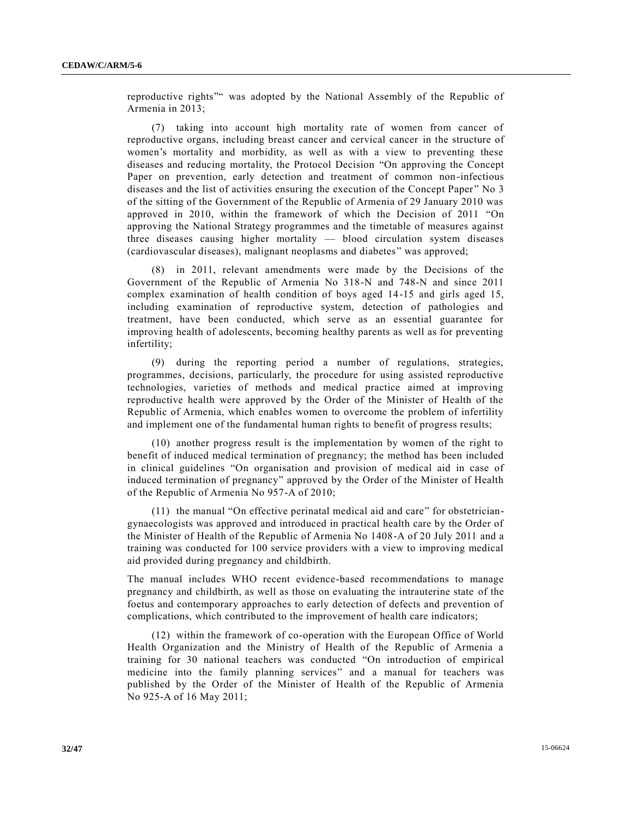reproductive rights"" was adopted by the National Assembly of the Republic of Armenia in 2013;

(7) taking into account high mortality rate of women from cancer of reproductive organs, including breast cancer and cervical cancer in the structure of women's mortality and morbidity, as well as with a view to preventing these diseases and reducing mortality, the Protocol Decision "On approving the Concept Paper on prevention, early detection and treatment of common non-infectious diseases and the list of activities ensuring the execution of the Concept Paper " No 3 of the sitting of the Government of the Republic of Armenia of 29 January 2010 was approved in 2010, within the framework of which the Decision of 2011 "On approving the National Strategy programmes and the timetable of measures against three diseases causing higher mortality — blood circulation system diseases (cardiovascular diseases), malignant neoplasms and diabetes" was approved;

(8) in 2011, relevant amendments were made by the Decisions of the Government of the Republic of Armenia No 318-N and 748-N and since 2011 complex examination of health condition of boys aged 14-15 and girls aged 15, including examination of reproductive system, detection of pathologies and treatment, have been conducted, which serve as an essential guarantee for improving health of adolescents, becoming healthy parents as well as for preventing infertility;

(9) during the reporting period a number of regulations, strategies, programmes, decisions, particularly, the procedure for using assisted reproductive technologies, varieties of methods and medical practice aimed at improving reproductive health were approved by the Order of the Minister of Health of the Republic of Armenia, which enables women to overcome the problem of infertility and implement one of the fundamental human rights to benefit of progress results;

(10) another progress result is the implementation by women of the right to benefit of induced medical termination of pregnancy; the method has been included in clinical guidelines "On organisation and provision of medical aid in case of induced termination of pregnancy" approved by the Order of the Minister of Health of the Republic of Armenia No 957-A of 2010;

(11) the manual "On effective perinatal medical aid and care" for obstetriciangynaecologists was approved and introduced in practical health care by the Order of the Minister of Health of the Republic of Armenia No 1408-A of 20 July 2011 and a training was conducted for 100 service providers with a view to improving medical aid provided during pregnancy and childbirth.

The manual includes WHO recent evidence-based recommendations to manage pregnancy and childbirth, as well as those on evaluating the intrauterine state of the foetus and contemporary approaches to early detection of defects and prevention of complications, which contributed to the improvement of health care indicators;

(12) within the framework of co-operation with the European Office of World Health Organization and the Ministry of Health of the Republic of Armenia a training for 30 national teachers was conducted "On introduction of empirical medicine into the family planning services" and a manual for teachers was published by the Order of the Minister of Health of the Republic of Armenia No 925-A of 16 May 2011;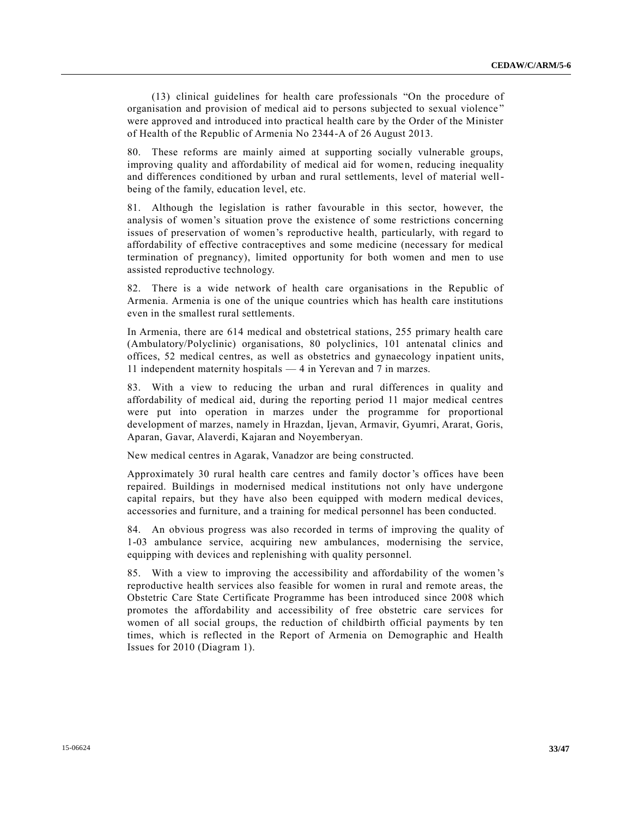(13) clinical guidelines for health care professionals "On the procedure of organisation and provision of medical aid to persons subjected to sexual violence " were approved and introduced into practical health care by the Order of the Minister of Health of the Republic of Armenia No 2344-A of 26 August 2013.

80. These reforms are mainly aimed at supporting socially vulnerable groups, improving quality and affordability of medical aid for women, reducing inequality and differences conditioned by urban and rural settlements, level of material wellbeing of the family, education level, etc.

81. Although the legislation is rather favourable in this sector, however, the analysis of women's situation prove the existence of some restrictions concerning issues of preservation of women's reproductive health, particularly, with regard to affordability of effective contraceptives and some medicine (necessary for medical termination of pregnancy), limited opportunity for both women and men to use assisted reproductive technology.

82. There is a wide network of health care organisations in the Republic of Armenia. Armenia is one of the unique countries which has health care institutions even in the smallest rural settlements.

In Armenia, there are 614 medical and obstetrical stations, 255 primary health care (Ambulatory/Polyclinic) organisations, 80 polyclinics, 101 antenatal clinics and offices, 52 medical centres, as well as obstetrics and gynaecology inpatient units, 11 independent maternity hospitals — 4 in Yerevan and 7 in marzes.

83. With a view to reducing the urban and rural differences in quality and affordability of medical aid, during the reporting period 11 major medical centres were put into operation in marzes under the programme for proportional development of marzes, namely in Hrazdan, Ijevan, Armavir, Gyumri, Ararat, Goris, Aparan, Gavar, Alaverdi, Kajaran and Noyemberyan.

New medical centres in Agarak, Vanadzor are being constructed.

Approximately 30 rural health care centres and family doctor's offices have been repaired. Buildings in modernised medical institutions not only have undergone capital repairs, but they have also been equipped with modern medical devices, accessories and furniture, and a training for medical personnel has been conducted.

84. An obvious progress was also recorded in terms of improving the quality of 1-03 ambulance service, acquiring new ambulances, modernising the service, equipping with devices and replenishing with quality personnel.

85. With a view to improving the accessibility and affordability of the women 's reproductive health services also feasible for women in rural and remote areas, the Obstetric Care State Certificate Programme has been introduced since 2008 which promotes the affordability and accessibility of free obstetric care services for women of all social groups, the reduction of childbirth official payments by ten times, which is reflected in the Report of Armenia on Demographic and Health Issues for 2010 (Diagram 1).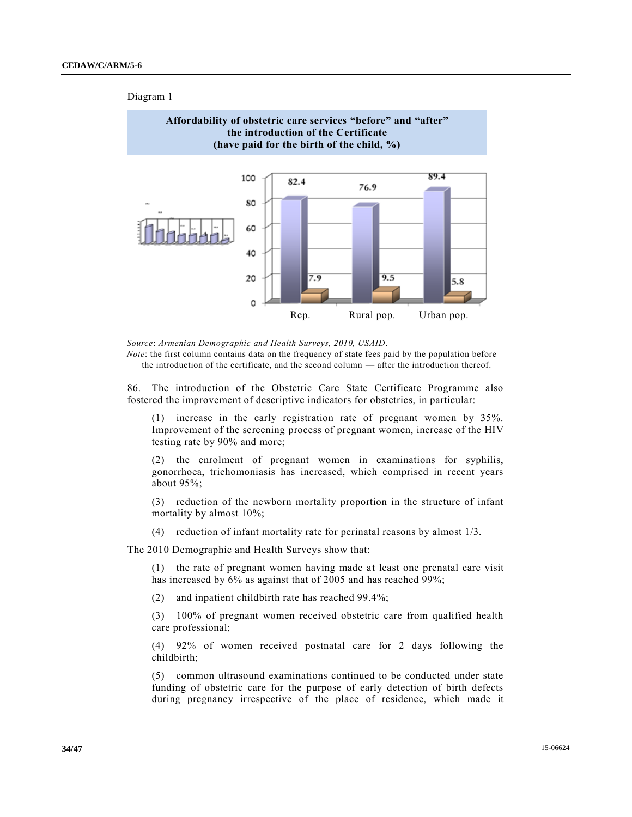## Diagram 1



*Source*: *Armenian Demographic and Health Surveys, 2010, USAID*.

*Note*: the first column contains data on the frequency of state fees paid by the population before the introduction of the certificate, and the second column — after the introduction thereof.

86. The introduction of the Obstetric Care State Certificate Programme also fostered the improvement of descriptive indicators for obstetrics, in particular:

(1) increase in the early registration rate of pregnant women by 35%. Improvement of the screening process of pregnant women, increase of the HIV testing rate by 90% and more;

(2) the enrolment of pregnant women in examinations for syphilis, gonorrhoea, trichomoniasis has increased, which comprised in recent years about 95%;

(3) reduction of the newborn mortality proportion in the structure of infant mortality by almost 10%;

(4) reduction of infant mortality rate for perinatal reasons by almost 1/3.

The 2010 Demographic and Health Surveys show that:

(1) the rate of pregnant women having made at least one prenatal care visit has increased by 6% as against that of 2005 and has reached 99%;

(2) and inpatient childbirth rate has reached 99.4%;

(3) 100% of pregnant women received obstetric care from qualified health care professional;

(4) 92% of women received postnatal care for 2 days following the childbirth;

(5) common ultrasound examinations continued to be conducted under state funding of obstetric care for the purpose of early detection of birth defects during pregnancy irrespective of the place of residence, which made it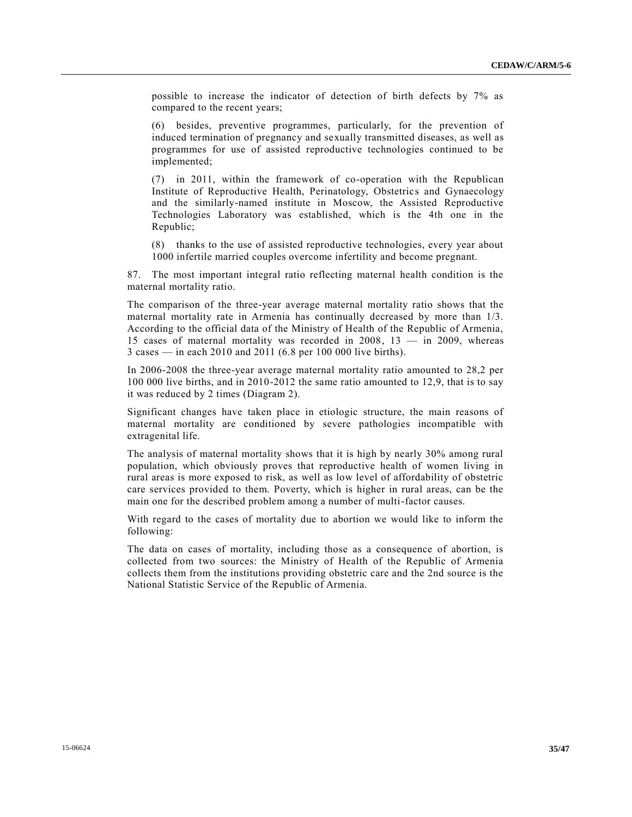possible to increase the indicator of detection of birth defects by 7% as compared to the recent years;

(6) besides, preventive programmes, particularly, for the prevention of induced termination of pregnancy and sexually transmitted diseases, as well as programmes for use of assisted reproductive technologies continued to be implemented;

(7) in 2011, within the framework of co-operation with the Republican Institute of Reproductive Health, Perinatology, Obstetrics and Gynaecology and the similarly-named institute in Moscow, the Assisted Reproductive Technologies Laboratory was established, which is the 4th one in the Republic;

(8) thanks to the use of assisted reproductive technologies, every year about 1000 infertile married couples overcome infertility and become pregnant.

87. The most important integral ratio reflecting maternal health condition is the maternal mortality ratio.

The comparison of the three-year average maternal mortality ratio shows that the maternal mortality rate in Armenia has continually decreased by more than 1/3. According to the official data of the Ministry of Health of the Republic of Armenia, 15 cases of maternal mortality was recorded in 2008, 13 — in 2009, whereas 3 cases — in each 2010 and 2011 (6.8 per 100 000 live births).

In 2006-2008 the three-year average maternal mortality ratio amounted to 28,2 per 100 000 live births, and in 2010-2012 the same ratio amounted to 12,9, that is to say it was reduced by 2 times (Diagram 2).

Significant changes have taken place in etiologic structure, the main reasons of maternal mortality are conditioned by severe pathologies incompatible with extragenital life.

The analysis of maternal mortality shows that it is high by nearly 30% among rural population, which obviously proves that reproductive health of women living in rural areas is more exposed to risk, as well as low level of affordability of obstetric care services provided to them. Poverty, which is higher in rural areas, can be the main one for the described problem among a number of multi-factor causes.

With regard to the cases of mortality due to abortion we would like to inform the following:

The data on cases of mortality, including those as a consequence of abortion, is collected from two sources: the Ministry of Health of the Republic of Armenia collects them from the institutions providing obstetric care and the 2nd source is the National Statistic Service of the Republic of Armenia.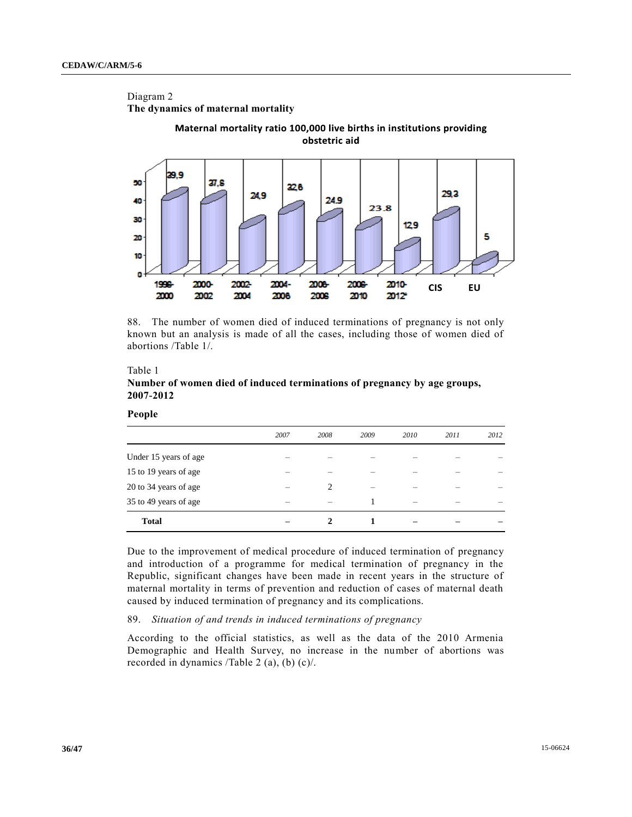# Diagram 2 **The dynamics of maternal mortality**



88. The number of women died of induced terminations of pregnancy is not only known but an analysis is made of all the cases, including those of women died of abortions /Table 1/.

## Table 1 **Number of women died of induced terminations of pregnancy by age groups, 2007-2012**

| :onı |
|------|
|------|

|                       | 2007 | 2008 | 2009 | 2010 | 2011 | 2012 |
|-----------------------|------|------|------|------|------|------|
| Under 15 years of age |      |      |      |      |      |      |
| 15 to 19 years of age |      |      |      |      |      |      |
| 20 to 34 years of age |      | 2    |      |      |      |      |
| 35 to 49 years of age |      |      |      |      |      |      |
| <b>Total</b>          |      |      |      |      |      |      |

Due to the improvement of medical procedure of induced termination of pregnancy and introduction of a programme for medical termination of pregnancy in the Republic, significant changes have been made in recent years in the structure of maternal mortality in terms of prevention and reduction of cases of maternal death caused by induced termination of pregnancy and its complications.

## 89. *Situation of and trends in induced terminations of pregnancy*

According to the official statistics, as well as the data of the 2010 Armenia Demographic and Health Survey, no increase in the number of abortions was recorded in dynamics /Table 2 (a), (b) (c)/.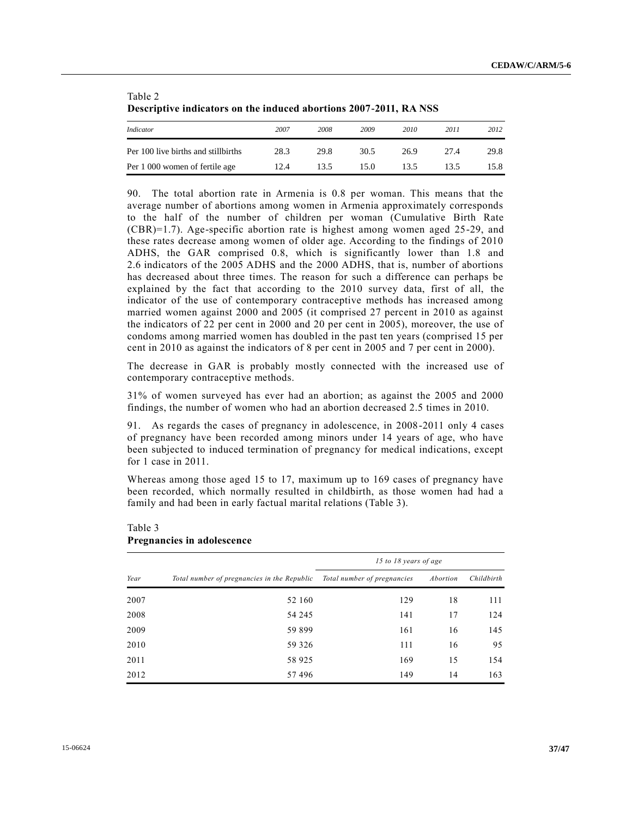| Descriptive indicators on the induced abortions 2007-2011, RA NSS |      |      |      |      |      |      |  |
|-------------------------------------------------------------------|------|------|------|------|------|------|--|
| Indicator                                                         | 2007 | 2008 | 2009 | 2010 | 2011 | 2012 |  |
| Per 100 live births and still births                              | 28.3 | 29.8 | 30.5 | 26.9 | 27.4 | 29.8 |  |
| Per 1 000 women of fertile age                                    | 12.4 | 13.5 | 15.0 | 13.5 | 13.5 | 15.8 |  |

**Descriptive indicators on the induced abortions 2007-2011, RA NSS** 

90. The total abortion rate in Armenia is 0.8 per woman. This means that the average number of abortions among women in Armenia approximately corresponds to the half of the number of children per woman (Cumulative Birth Rate (CBR)=1.7). Age-specific abortion rate is highest among women aged 25-29, and these rates decrease among women of older age. According to the findings of 2010 ADHS, the GAR comprised 0.8, which is significantly lower than 1.8 and 2.6 indicators of the 2005 ADHS and the 2000 ADHS, that is, number of abortions has decreased about three times. The reason for such a difference can perhaps be explained by the fact that according to the 2010 survey data, first of all, the indicator of the use of contemporary contraceptive methods has increased among married women against 2000 and 2005 (it comprised 27 percent in 2010 as against the indicators of 22 per cent in 2000 and 20 per cent in 2005), moreover, the use of condoms among married women has doubled in the past ten years (comprised 15 per cent in 2010 as against the indicators of 8 per cent in 2005 and 7 per cent in 2000).

The decrease in GAR is probably mostly connected with the increased use of contemporary contraceptive methods.

31% of women surveyed has ever had an abortion; as against the 2005 and 2000 findings, the number of women who had an abortion decreased 2.5 times in 2010.

91. As regards the cases of pregnancy in adolescence, in 2008-2011 only 4 cases of pregnancy have been recorded among minors under 14 years of age, who have been subjected to induced termination of pregnancy for medical indications, except for 1 case in 2011.

Whereas among those aged 15 to 17, maximum up to 169 cases of pregnancy have been recorded, which normally resulted in childbirth, as those women had had a family and had been in early factual marital relations (Table 3).

|      |                                             | 15 to 18 years of age       |          |            |
|------|---------------------------------------------|-----------------------------|----------|------------|
| Year | Total number of pregnancies in the Republic | Total number of pregnancies | Abortion | Childbirth |
| 2007 | 52 160                                      | 129                         | 18       | 111        |
| 2008 | 54 245                                      | 141                         | 17       | 124        |
| 2009 | 59 899                                      | 161                         | 16       | 145        |
| 2010 | 59 3 26                                     | 111                         | 16       | 95         |
| 2011 | 58 9 25                                     | 169                         | 15       | 154        |
| 2012 | 57496                                       | 149                         | 14       | 163        |

#### Table 3 **Pregnancies in adolescence**

Table 2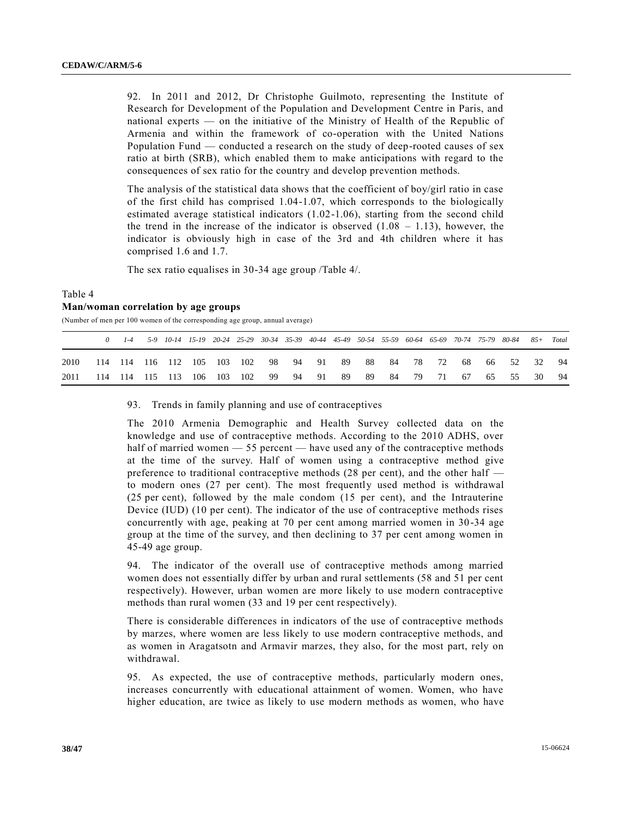92. In 2011 and 2012, Dr Christophe Guilmoto, representing the Institute of Research for Development of the Population and Development Centre in Paris, and national experts — on the initiative of the Ministry of Health of the Republic of Armenia and within the framework of co-operation with the United Nations Population Fund — conducted a research on the study of deep-rooted causes of sex ratio at birth (SRB), which enabled them to make anticipations with regard to the consequences of sex ratio for the country and develop prevention methods.

The analysis of the statistical data shows that the coefficient of boy/girl ratio in case of the first child has comprised 1.04-1.07, which corresponds to the biologically estimated average statistical indicators (1.02-1.06), starting from the second child the trend in the increase of the indicator is observed  $(1.08 - 1.13)$ , however, the indicator is obviously high in case of the 3rd and 4th children where it has comprised 1.6 and 1.7.

The sex ratio equalises in 30-34 age group /Table 4/.

## Table 4 **Man/woman correlation by age groups**

(Number of men per 100 women of the corresponding age group, annual average)

|      |  |  |  |  |  |  |  |  | 0 1-4 5-9 10-14 15-19 20-24 25-29 30-34 35-39 40-44 45-49 50-54 55-59 60-64 65-69 70-74 75-79 80-84 85+ Total |  |
|------|--|--|--|--|--|--|--|--|---------------------------------------------------------------------------------------------------------------|--|
| 2010 |  |  |  |  |  |  |  |  | 114 114 116 112 105 103 102 98 94 91 89 88 84 78 72 68 66 52 32 94                                            |  |
| 2011 |  |  |  |  |  |  |  |  | 114 114 115 113 106 103 102 99 94 91 89 89 84 79 71 67 65 55 30 94                                            |  |

#### 93. Trends in family planning and use of contraceptives

The 2010 Armenia Demographic and Health Survey collected data on the knowledge and use of contraceptive methods. According to the 2010 ADHS, over half of married women — 55 percent — have used any of the contraceptive methods at the time of the survey. Half of women using a contraceptive method give preference to traditional contraceptive methods (28 per cent), and the other half to modern ones (27 per cent). The most frequently used method is withdrawal (25 per cent), followed by the male condom (15 per cent), and the Intrauterine Device (IUD) (10 per cent). The indicator of the use of contraceptive methods rises concurrently with age, peaking at 70 per cent among married women in 30 -34 age group at the time of the survey, and then declining to 37 per cent among women in 45-49 age group.

94. The indicator of the overall use of contraceptive methods among married women does not essentially differ by urban and rural settlements (58 and 51 per cent respectively). However, urban women are more likely to use modern contraceptive methods than rural women (33 and 19 per cent respectively).

There is considerable differences in indicators of the use of contraceptive methods by marzes, where women are less likely to use modern contraceptive methods, and as women in Aragatsotn and Armavir marzes, they also, for the most part, rely on withdrawal.

95. As expected, the use of contraceptive methods, particularly modern ones, increases concurrently with educational attainment of women. Women, who have higher education, are twice as likely to use modern methods as women, who have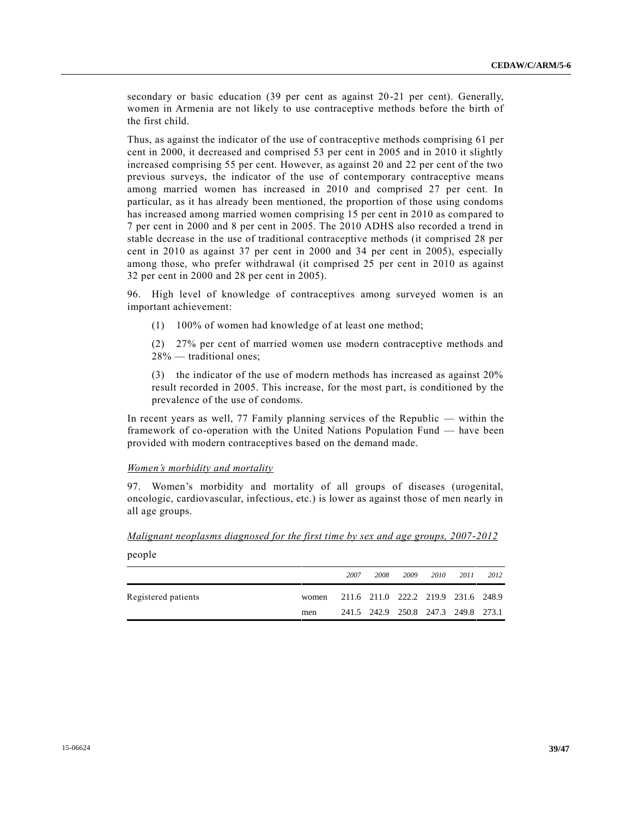secondary or basic education (39 per cent as against 20-21 per cent). Generally, women in Armenia are not likely to use contraceptive methods before the birth of the first child.

Thus, as against the indicator of the use of contraceptive methods comprising 61 per cent in 2000, it decreased and comprised 53 per cent in 2005 and in 2010 it slightly increased comprising 55 per cent. However, as against 20 and 22 per cent of the two previous surveys, the indicator of the use of contemporary contraceptive means among married women has increased in 2010 and comprised 27 per cent. In particular, as it has already been mentioned, the proportion of those using condoms has increased among married women comprising 15 per cent in 2010 as compared to 7 per cent in 2000 and 8 per cent in 2005. The 2010 ADHS also recorded a trend in stable decrease in the use of traditional contraceptive methods (it comprised 28 per cent in 2010 as against 37 per cent in 2000 and 34 per cent in 2005), especially among those, who prefer withdrawal (it comprised 25 per cent in 2010 as against 32 per cent in 2000 and 28 per cent in 2005).

96. High level of knowledge of contraceptives among surveyed women is an important achievement:

(1) 100% of women had knowledge of at least one method;

(2) 27% per cent of married women use modern contraceptive methods and 28% — traditional ones;

(3) the indicator of the use of modern methods has increased as against 20% result recorded in 2005. This increase, for the most part, is conditioned by the prevalence of the use of condoms.

In recent years as well, 77 Family planning services of the Republic — within the framework of co-operation with the United Nations Population Fund — have been provided with modern contraceptives based on the demand made.

## *Women's morbidity and mortality*

people

97. Women's morbidity and mortality of all groups of diseases (urogenital, oncologic, cardiovascular, infectious, etc.) is lower as against those of men nearly in all age groups.

*Malignant neoplasms diagnosed for the first time by sex and age groups, 2007-2012*

|                     |       | 2007 | 2008 | 2009 | 2010 | 2011                                | 2012 |
|---------------------|-------|------|------|------|------|-------------------------------------|------|
| Registered patients | women |      |      |      |      | 211.6 211.0 222.2 219.9 231.6 248.9 |      |
|                     | men   |      |      |      |      | 241.5 242.9 250.8 247.3 249.8 273.1 |      |
|                     |       |      |      |      |      |                                     |      |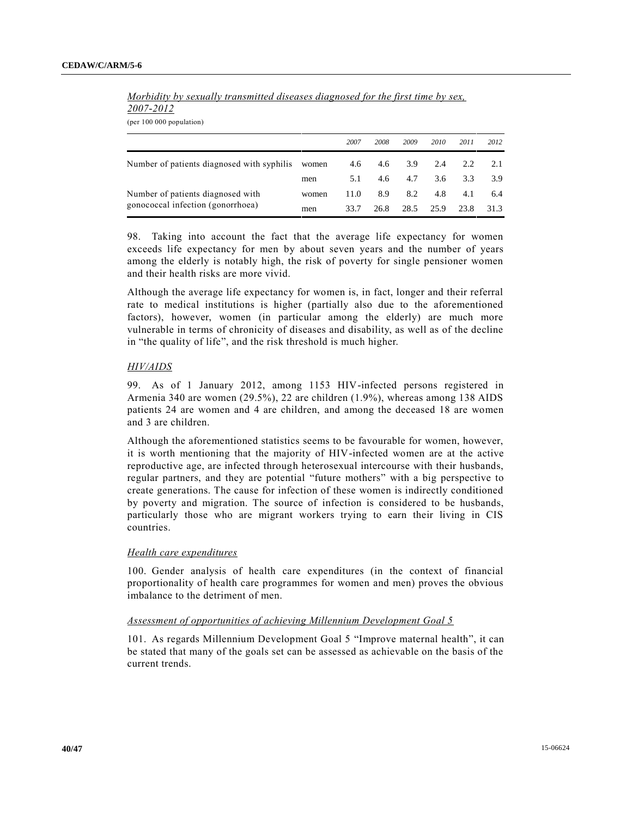| (per $100\ 000$ population)                |       |      |      |      |      |      |      |
|--------------------------------------------|-------|------|------|------|------|------|------|
|                                            |       | 2007 | 2008 | 2009 | 2010 | 2011 | 2012 |
| Number of patients diagnosed with syphilis | women | 4.6  | 4.6  | 3.9  | 2.4  | 2.2  | 2.1  |
|                                            | men   | 5.1  | 4.6  | 4.7  | 3.6  | 3.3  | 3.9  |
| Number of patients diagnosed with          | women | 11.0 | 8.9  | 8.2  | 4.8  | 4.1  | 6.4  |
| gonococcal infection (gonorrhoea)          | men   | 33.7 | 26.8 | 28.5 | 25.9 | 23.8 | 31.3 |

*Morbidity by sexually transmitted diseases diagnosed for the first time by sex, 2007-2012* 

(per 100 000 population)

98. Taking into account the fact that the average life expectancy for women exceeds life expectancy for men by about seven years and the number of years among the elderly is notably high, the risk of poverty for single pensioner women and their health risks are more vivid.

Although the average life expectancy for women is, in fact, longer and their referral rate to medical institutions is higher (partially also due to the aforementioned factors), however, women (in particular among the elderly) are much more vulnerable in terms of chronicity of diseases and disability, as well as of the decline in "the quality of life", and the risk threshold is much higher.

## *HIV/AIDS*

99. As of 1 January 2012, among 1153 HIV-infected persons registered in Armenia 340 are women (29.5%), 22 are children (1.9%), whereas among 138 AIDS patients 24 are women and 4 are children, and among the deceased 18 are women and 3 are children.

Although the aforementioned statistics seems to be favourable for women, however, it is worth mentioning that the majority of HIV-infected women are at the active reproductive age, are infected through heterosexual intercourse with their husbands, regular partners, and they are potential "future mothers" with a big perspective to create generations. The cause for infection of these women is indirectly conditioned by poverty and migration. The source of infection is considered to be husbands, particularly those who are migrant workers trying to earn their living in CIS countries.

#### *Health care expenditures*

100. Gender analysis of health care expenditures (in the context of financial proportionality of health care programmes for women and men) proves the obvious imbalance to the detriment of men.

## *Assessment of opportunities of achieving Millennium Development Goal 5*

101. As regards Millennium Development Goal 5 "Improve maternal health", it can be stated that many of the goals set can be assessed as achievable on the basis of the current trends.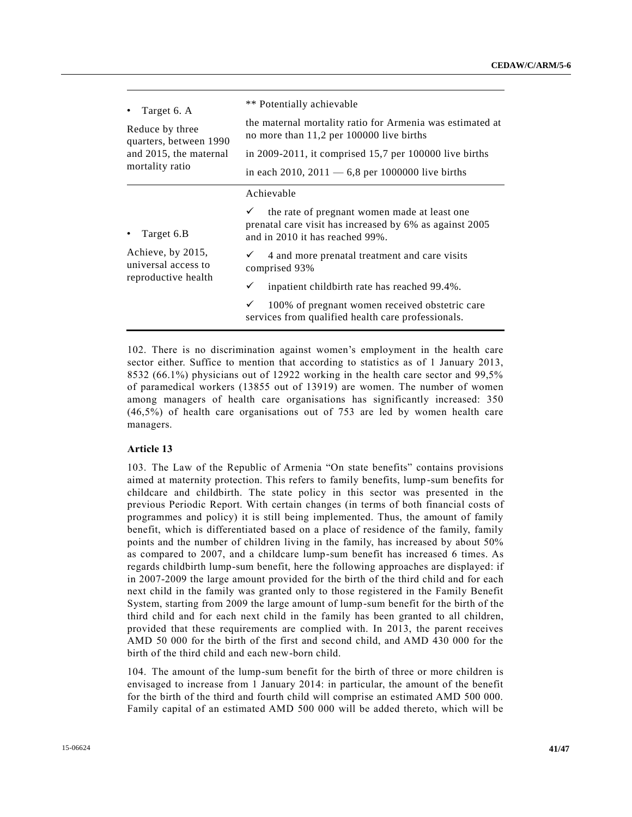| Target 6. A                                                                   | ** Potentially achievable                                                                                                                                                                                                                                                                                                                                                               |
|-------------------------------------------------------------------------------|-----------------------------------------------------------------------------------------------------------------------------------------------------------------------------------------------------------------------------------------------------------------------------------------------------------------------------------------------------------------------------------------|
| Reduce by three                                                               | the maternal mortality ratio for Armenia was estimated at                                                                                                                                                                                                                                                                                                                               |
| quarters, between 1990                                                        | no more than 11,2 per 100000 live births                                                                                                                                                                                                                                                                                                                                                |
| and 2015, the maternal                                                        | in 2009-2011, it comprised $15,7$ per 100000 live births                                                                                                                                                                                                                                                                                                                                |
| mortality ratio                                                               | in each 2010, 2011 $-6.8$ per 1000000 live births                                                                                                                                                                                                                                                                                                                                       |
| Target 6.B<br>Achieve, by 2015,<br>universal access to<br>reproductive health | Achievable<br>the rate of pregnant women made at least one<br>prenatal care visit has increased by 6% as against 2005<br>and in 2010 it has reached 99%.<br>4 and more prenatal treatment and care visits<br>comprised 93%<br>inpatient childbirth rate has reached 99.4%.<br>✓<br>100% of pregnant women received obstetric care<br>services from qualified health care professionals. |

102. There is no discrimination against women's employment in the health care sector either. Suffice to mention that according to statistics as of 1 January 2013, 8532 (66.1%) physicians out of 12922 working in the health care sector and 99,5% of paramedical workers (13855 out of 13919) are women. The number of women among managers of health care organisations has significantly increased: 350 (46,5%) of health care organisations out of 753 are led by women health care managers.

## **Article 13**

103. The Law of the Republic of Armenia "On state benefits" contains provisions aimed at maternity protection. This refers to family benefits, lump -sum benefits for childcare and childbirth. The state policy in this sector was presented in the previous Periodic Report. With certain changes (in terms of both financial costs of programmes and policy) it is still being implemented. Thus, the amount of family benefit, which is differentiated based on a place of residence of the family, family points and the number of children living in the family, has increased by about 50% as compared to 2007, and a childcare lump-sum benefit has increased 6 times. As regards childbirth lump-sum benefit, here the following approaches are displayed: if in 2007-2009 the large amount provided for the birth of the third child and for each next child in the family was granted only to those registered in the Family Benefit System, starting from 2009 the large amount of lump-sum benefit for the birth of the third child and for each next child in the family has been granted to all children, provided that these requirements are complied with. In 2013, the parent receives AMD 50 000 for the birth of the first and second child, and AMD 430 000 for the birth of the third child and each new-born child.

104. The amount of the lump-sum benefit for the birth of three or more children is envisaged to increase from 1 January 2014: in particular, the amount of the benefit for the birth of the third and fourth child will comprise an estimated AMD 500 000. Family capital of an estimated AMD 500 000 will be added thereto, which will be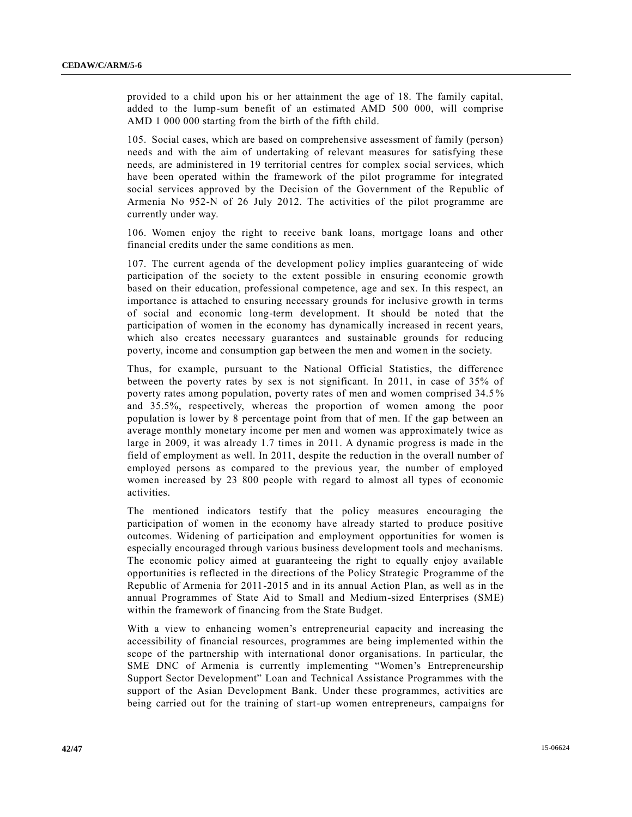provided to a child upon his or her attainment the age of 18. The family capital, added to the lump-sum benefit of an estimated AMD 500 000, will comprise AMD 1 000 000 starting from the birth of the fifth child.

105. Social cases, which are based on comprehensive assessment of family (person) needs and with the aim of undertaking of relevant measures for satisfying these needs, are administered in 19 territorial centres for complex social services, which have been operated within the framework of the pilot programme for integrated social services approved by the Decision of the Government of the Republic of Armenia No 952-N of 26 July 2012. The activities of the pilot programme are currently under way.

106. Women enjoy the right to receive bank loans, mortgage loans and other financial credits under the same conditions as men.

107. The current agenda of the development policy implies guaranteeing of wide participation of the society to the extent possible in ensuring economic growth based on their education, professional competence, age and sex. In this respect, an importance is attached to ensuring necessary grounds for inclusive growth in terms of social and economic long-term development. It should be noted that the participation of women in the economy has dynamically increased in recent years, which also creates necessary guarantees and sustainable grounds for reducing poverty, income and consumption gap between the men and women in the society.

Thus, for example, pursuant to the National Official Statistics, the difference between the poverty rates by sex is not significant. In 2011, in case of 35% of poverty rates among population, poverty rates of men and women comprised 34.5% and 35.5%, respectively, whereas the proportion of women among the poor population is lower by 8 percentage point from that of men. If the gap between an average monthly monetary income per men and women was approximately twice as large in 2009, it was already 1.7 times in 2011. A dynamic progress is made in the field of employment as well. In 2011, despite the reduction in the overall number of employed persons as compared to the previous year, the number of employed women increased by 23 800 people with regard to almost all types of economic activities.

The mentioned indicators testify that the policy measures encouraging the participation of women in the economy have already started to produce positive outcomes. Widening of participation and employment opportunities for women is especially encouraged through various business development tools and mechanisms. The economic policy aimed at guaranteeing the right to equally enjoy available opportunities is reflected in the directions of the Policy Strategic Programme of the Republic of Armenia for 2011-2015 and in its annual Action Plan, as well as in the annual Programmes of State Aid to Small and Medium-sized Enterprises (SME) within the framework of financing from the State Budget.

With a view to enhancing women's entrepreneurial capacity and increasing the accessibility of financial resources, programmes are being implemented within the scope of the partnership with international donor organisations. In particular, the SME DNC of Armenia is currently implementing "Women's Entrepreneurship Support Sector Development" Loan and Technical Assistance Programmes with the support of the Asian Development Bank. Under these programmes, activities are being carried out for the training of start-up women entrepreneurs, campaigns for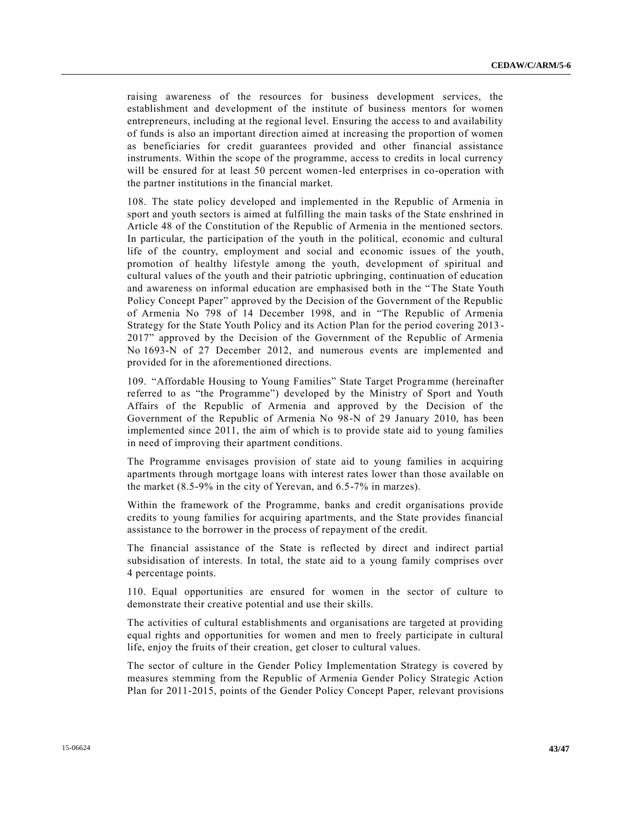raising awareness of the resources for business development services, the establishment and development of the institute of business mentors for women entrepreneurs, including at the regional level. Ensuring the access to and availability of funds is also an important direction aimed at increasing the proportion of women as beneficiaries for credit guarantees provided and other financial assistance instruments. Within the scope of the programme, access to credits in local currency will be ensured for at least 50 percent women-led enterprises in co-operation with the partner institutions in the financial market.

108. The state policy developed and implemented in the Republic of Armenia in sport and youth sectors is aimed at fulfilling the main tasks of the State enshrined in Article 48 of the Constitution of the Republic of Armenia in the mentioned sectors. In particular, the participation of the youth in the political, economic and cultural life of the country, employment and social and economic issues of the youth, promotion of healthy lifestyle among the youth, development of spiritual and cultural values of the youth and their patriotic upbringing, continuation of education and awareness on informal education are emphasised both in the "The State Youth Policy Concept Paper" approved by the Decision of the Government of the Republic of Armenia No 798 of 14 December 1998, and in "The Republic of Armenia Strategy for the State Youth Policy and its Action Plan for the period covering 2013 - 2017" approved by the Decision of the Government of the Republic of Armenia No 1693-N of 27 December 2012, and numerous events are implemented and provided for in the aforementioned directions.

109. "Affordable Housing to Young Families" State Target Programme (hereinafter referred to as "the Programme") developed by the Ministry of Sport and Youth Affairs of the Republic of Armenia and approved by the Decision of the Government of the Republic of Armenia No 98-N of 29 January 2010, has been implemented since 2011, the aim of which is to provide state aid to young families in need of improving their apartment conditions.

The Programme envisages provision of state aid to young families in acquiring apartments through mortgage loans with interest rates lower than those available on the market (8.5-9% in the city of Yerevan, and 6.5-7% in marzes).

Within the framework of the Programme, banks and credit organisations provide credits to young families for acquiring apartments, and the State provides financial assistance to the borrower in the process of repayment of the credit.

The financial assistance of the State is reflected by direct and indirect partial subsidisation of interests. In total, the state aid to a young family comprises over 4 percentage points.

110. Equal opportunities are ensured for women in the sector of culture to demonstrate their creative potential and use their skills.

The activities of cultural establishments and organisations are targeted at providing equal rights and opportunities for women and men to freely participate in cultural life, enjoy the fruits of their creation, get closer to cultural values.

The sector of culture in the Gender Policy Implementation Strategy is covered by measures stemming from the Republic of Armenia Gender Policy Strategic Action Plan for 2011-2015, points of the Gender Policy Concept Paper, relevant provisions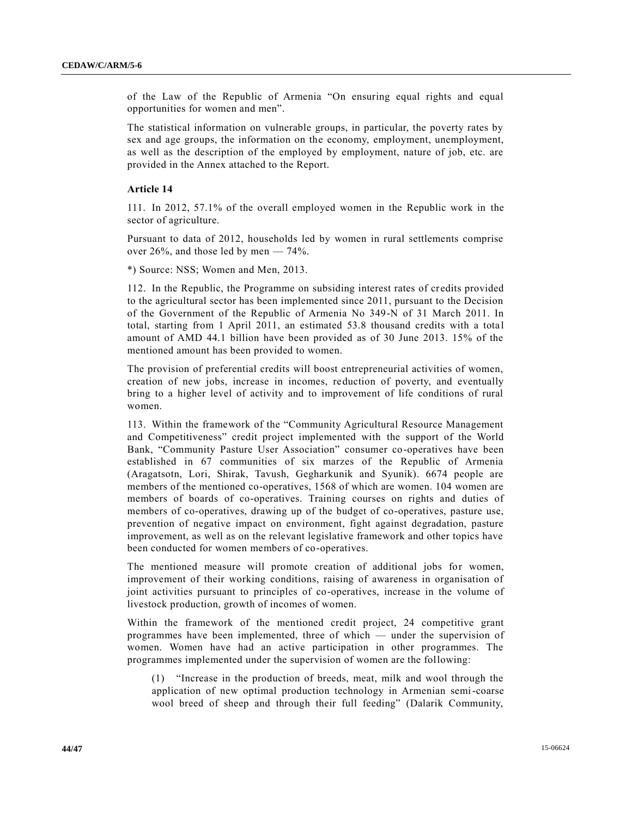of the Law of the Republic of Armenia "On ensuring equal rights and equal opportunities for women and men".

The statistical information on vulnerable groups, in particular, the poverty rates by sex and age groups, the information on the economy, employment, unemployment, as well as the description of the employed by employment, nature of job, etc. are provided in the Annex attached to the Report.

#### **Article 14**

111. In 2012, 57.1% of the overall employed women in the Republic work in the sector of agriculture.

Pursuant to data of 2012, households led by women in rural settlements comprise over 26%, and those led by men  $-74%$ .

\*) Source: NSS; Women and Men, 2013.

112. In the Republic, the Programme on subsiding interest rates of credits provided to the agricultural sector has been implemented since 2011, pursuant to the Decision of the Government of the Republic of Armenia No 349-N of 31 March 2011. In total, starting from 1 April 2011, an estimated 53.8 thousand credits with a total amount of AMD 44.1 billion have been provided as of 30 June 2013. 15% of the mentioned amount has been provided to women.

The provision of preferential credits will boost entrepreneurial activities of women, creation of new jobs, increase in incomes, reduction of poverty, and eventually bring to a higher level of activity and to improvement of life conditions of rural women.

113. Within the framework of the "Community Agricultural Resource Management and Competitiveness" credit project implemented with the support of the World Bank, "Community Pasture User Association" consumer co-operatives have been established in 67 communities of six marzes of the Republic of Armenia (Aragatsotn, Lori, Shirak, Tavush, Gegharkunik and Syunik). 6674 people are members of the mentioned co-operatives, 1568 of which are women. 104 women are members of boards of co-operatives. Training courses on rights and duties of members of co-operatives, drawing up of the budget of co-operatives, pasture use, prevention of negative impact on environment, fight against degradation, pasture improvement, as well as on the relevant legislative framework and other topics have been conducted for women members of co-operatives.

The mentioned measure will promote creation of additional jobs for women, improvement of their working conditions, raising of awareness in organisation of joint activities pursuant to principles of co-operatives, increase in the volume of livestock production, growth of incomes of women.

Within the framework of the mentioned credit project, 24 competitive grant programmes have been implemented, three of which — under the supervision of women. Women have had an active participation in other programmes. The programmes implemented under the supervision of women are the following:

(1) "Increase in the production of breeds, meat, milk and wool through the application of new optimal production technology in Armenian semi-coarse wool breed of sheep and through their full feeding" (Dalarik Community,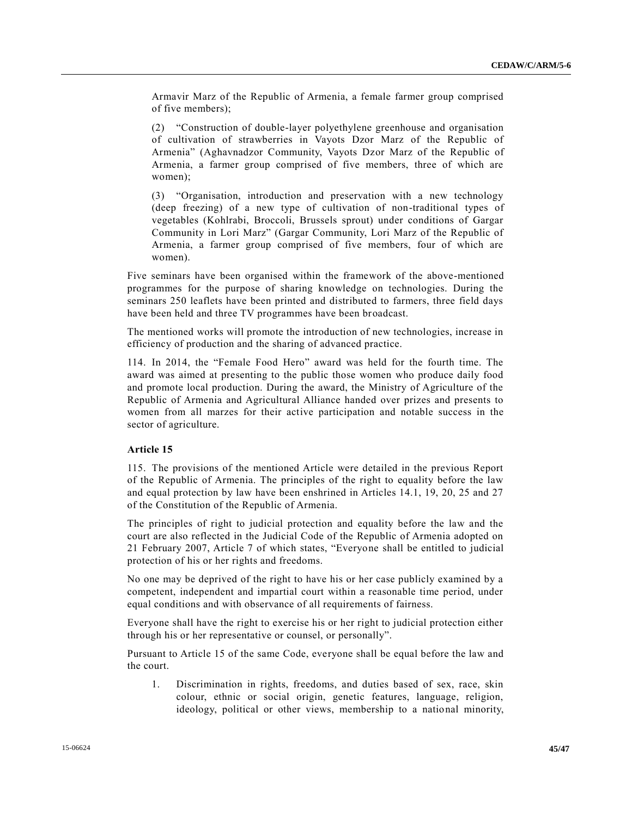Armavir Marz of the Republic of Armenia, a female farmer group comprised of five members);

(2) "Construction of double-layer polyethylene greenhouse and organisation of cultivation of strawberries in Vayots Dzor Marz of the Republic of Armenia" (Aghavnadzor Community, Vayots Dzor Marz of the Republic of Armenia, a farmer group comprised of five members, three of which are women);

(3) "Organisation, introduction and preservation with a new technology (deep freezing) of a new type of cultivation of non-traditional types of vegetables (Kohlrabi, Broccoli, Brussels sprout) under conditions of Gargar Community in Lori Marz" (Gargar Community, Lori Marz of the Republic of Armenia, a farmer group comprised of five members, four of which are women).

Five seminars have been organised within the framework of the above-mentioned programmes for the purpose of sharing knowledge on technologies. During the seminars 250 leaflets have been printed and distributed to farmers, three field days have been held and three TV programmes have been broadcast.

The mentioned works will promote the introduction of new technologies, increase in efficiency of production and the sharing of advanced practice.

114. In 2014, the "Female Food Hero" award was held for the fourth time. The award was aimed at presenting to the public those women who produce daily food and promote local production. During the award, the Ministry of Agriculture of the Republic of Armenia and Agricultural Alliance handed over prizes and presents to women from all marzes for their active participation and notable success in the sector of agriculture.

#### **Article 15**

115. The provisions of the mentioned Article were detailed in the previous Report of the Republic of Armenia. The principles of the right to equality before the law and equal protection by law have been enshrined in Articles 14.1, 19, 20, 25 and 27 of the Constitution of the Republic of Armenia.

The principles of right to judicial protection and equality before the law and the court are also reflected in the Judicial Code of the Republic of Armenia adopted on 21 February 2007, Article 7 of which states, "Everyone shall be entitled to judicial protection of his or her rights and freedoms.

No one may be deprived of the right to have his or her case publicly examined by a competent, independent and impartial court within a reasonable time period, under equal conditions and with observance of all requirements of fairness.

Everyone shall have the right to exercise his or her right to judicial protection either through his or her representative or counsel, or personally".

Pursuant to Article 15 of the same Code, everyone shall be equal before the law and the court.

1. Discrimination in rights, freedoms, and duties based of sex, race, skin colour, ethnic or social origin, genetic features, language, religion, ideology, political or other views, membership to a national minority,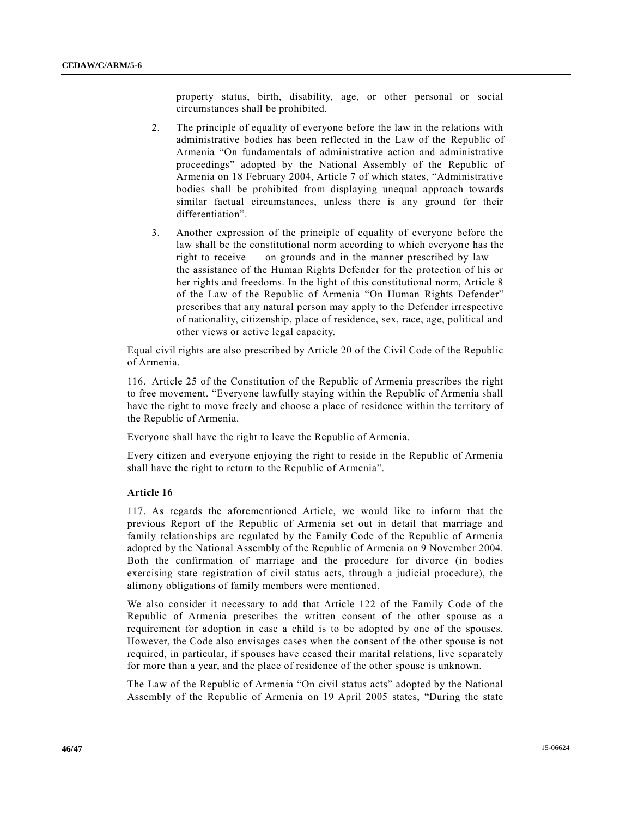property status, birth, disability, age, or other personal or social circumstances shall be prohibited.

- 2. The principle of equality of everyone before the law in the relations with administrative bodies has been reflected in the Law of the Republic of Armenia "On fundamentals of administrative action and administrative proceedings" adopted by the National Assembly of the Republic of Armenia on 18 February 2004, Article 7 of which states, "Administrative bodies shall be prohibited from displaying unequal approach towards similar factual circumstances, unless there is any ground for their differentiation".
- 3. Another expression of the principle of equality of everyone before the law shall be the constitutional norm according to which everyone has the right to receive — on grounds and in the manner prescribed by  $law$ the assistance of the Human Rights Defender for the protection of his or her rights and freedoms. In the light of this constitutional norm, Article 8 of the Law of the Republic of Armenia "On Human Rights Defender" prescribes that any natural person may apply to the Defender irrespective of nationality, citizenship, place of residence, sex, race, age, political and other views or active legal capacity.

Equal civil rights are also prescribed by Article 20 of the Civil Code of the Republic of Armenia.

116. Article 25 of the Constitution of the Republic of Armenia prescribes the right to free movement. "Everyone lawfully staying within the Republic of Armenia shall have the right to move freely and choose a place of residence within the territory of the Republic of Armenia.

Everyone shall have the right to leave the Republic of Armenia.

Every citizen and everyone enjoying the right to reside in the Republic of Armenia shall have the right to return to the Republic of Armenia".

#### **Article 16**

117. As regards the aforementioned Article, we would like to inform that the previous Report of the Republic of Armenia set out in detail that marriage and family relationships are regulated by the Family Code of the Republic of Armenia adopted by the National Assembly of the Republic of Armenia on 9 November 2004. Both the confirmation of marriage and the procedure for divorce (in bodies exercising state registration of civil status acts, through a judicial procedure), the alimony obligations of family members were mentioned.

We also consider it necessary to add that Article 122 of the Family Code of the Republic of Armenia prescribes the written consent of the other spouse as a requirement for adoption in case a child is to be adopted by one of the spouses. However, the Code also envisages cases when the consent of the other spouse is not required, in particular, if spouses have ceased their marital relations, live separately for more than a year, and the place of residence of the other spouse is unknown.

The Law of the Republic of Armenia "On civil status acts" adopted by the National Assembly of the Republic of Armenia on 19 April 2005 states, "During the state